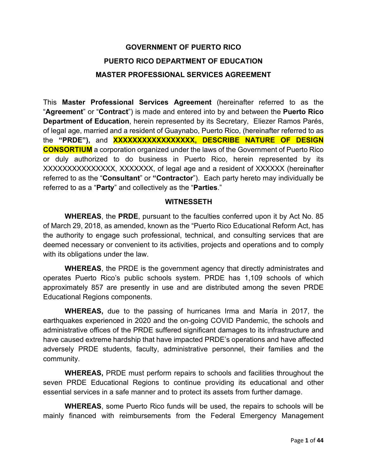# **GOVERNMENT OF PUERTO RICO PUERTO RICO DEPARTMENT OF EDUCATION MASTER PROFESSIONAL SERVICES AGREEMENT**

This **Master Professional Services Agreement** (hereinafter referred to as the "**Agreement**" or "**Contract**") is made and entered into by and between the **Puerto Rico Department of Education**, herein represented by its Secretary, Eliezer Ramos Parés, of legal age, married and a resident of Guaynabo, Puerto Rico, (hereinafter referred to as the **"PRDE"),** and **XXXXXXXXXXXXXXXXX, DESCRIBE NATURE OF DESIGN CONSORTIUM** a corporation organized under the laws of the Government of Puerto Rico or duly authorized to do business in Puerto Rico, herein represented by its XXXXXXXXXXXXXXX, XXXXXXX, of legal age and a resident of XXXXXX (hereinafter referred to as the "**Consultant**" or **"Contractor**"). Each party hereto may individually be referred to as a "**Party**" and collectively as the "**Parties**."

#### **WITNESSETH**

**WHEREAS**, the **PRDE**, pursuant to the faculties conferred upon it by Act No. 85 of March 29, 2018, as amended, known as the "Puerto Rico Educational Reform Act, has the authority to engage such professional, technical, and consulting services that are deemed necessary or convenient to its activities, projects and operations and to comply with its obligations under the law.

**WHEREAS**, the PRDE is the government agency that directly administrates and operates Puerto Rico's public schools system. PRDE has 1,109 schools of which approximately 857 are presently in use and are distributed among the seven PRDE Educational Regions components.

**WHEREAS,** due to the passing of hurricanes Irma and María in 2017, the earthquakes experienced in 2020 and the on-going COVID Pandemic, the schools and administrative offices of the PRDE suffered significant damages to its infrastructure and have caused extreme hardship that have impacted PRDE's operations and have affected adversely PRDE students, faculty, administrative personnel, their families and the community.

**WHEREAS,** PRDE must perform repairs to schools and facilities throughout the seven PRDE Educational Regions to continue providing its educational and other essential services in a safe manner and to protect its assets from further damage.

**WHEREAS**, some Puerto Rico funds will be used, the repairs to schools will be mainly financed with reimbursements from the Federal Emergency Management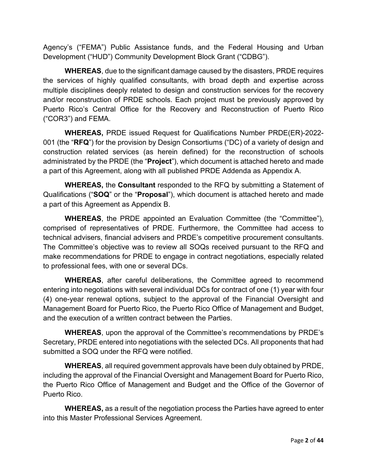Agency's ("FEMA") Public Assistance funds, and the Federal Housing and Urban Development ("HUD") Community Development Block Grant ("CDBG").

**WHEREAS**, due to the significant damage caused by the disasters, PRDE requires the services of highly qualified consultants, with broad depth and expertise across multiple disciplines deeply related to design and construction services for the recovery and/or reconstruction of PRDE schools. Each project must be previously approved by Puerto Rico's Central Office for the Recovery and Reconstruction of Puerto Rico ("COR3") and FEMA.

**WHEREAS,** PRDE issued Request for Qualifications Number PRDE(ER)-2022- 001 (the "**RFQ**") for the provision by Design Consortiums ("DC) of a variety of design and construction related services (as herein defined) for the reconstruction of schools administrated by the PRDE (the "**Project**"), which document is attached hereto and made a part of this Agreement, along with all published PRDE Addenda as Appendix A.

**WHEREAS,** the **Consultant** responded to the RFQ by submitting a Statement of Qualifications ("**SOQ**" or the "**Proposal**"), which document is attached hereto and made a part of this Agreement as Appendix B.

**WHEREAS**, the PRDE appointed an Evaluation Committee (the "Committee"), comprised of representatives of PRDE. Furthermore, the Committee had access to technical advisers, financial advisers and PRDE's competitive procurement consultants. The Committee's objective was to review all SOQs received pursuant to the RFQ and make recommendations for PRDE to engage in contract negotiations, especially related to professional fees, with one or several DCs.

**WHEREAS**, after careful deliberations, the Committee agreed to recommend entering into negotiations with several individual DCs for contract of one (1) year with four (4) one-year renewal options, subject to the approval of the Financial Oversight and Management Board for Puerto Rico, the Puerto Rico Office of Management and Budget, and the execution of a written contract between the Parties.

**WHEREAS**, upon the approval of the Committee's recommendations by PRDE's Secretary, PRDE entered into negotiations with the selected DCs. All proponents that had submitted a SOQ under the RFQ were notified.

**WHEREAS**, all required government approvals have been duly obtained by PRDE, including the approval of the Financial Oversight and Management Board for Puerto Rico, the Puerto Rico Office of Management and Budget and the Office of the Governor of Puerto Rico.

**WHEREAS,** as a result of the negotiation process the Parties have agreed to enter into this Master Professional Services Agreement.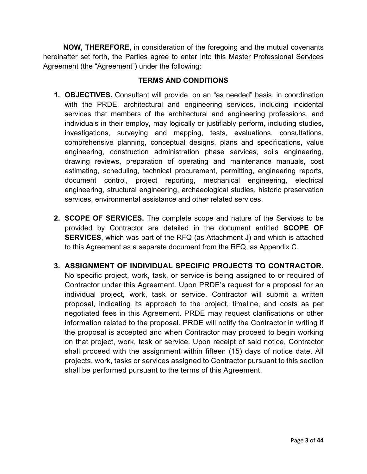**NOW, THEREFORE,** in consideration of the foregoing and the mutual covenants hereinafter set forth, the Parties agree to enter into this Master Professional Services Agreement (the "Agreement") under the following:

#### **TERMS AND CONDITIONS**

- **1. OBJECTIVES.** Consultant will provide, on an "as needed" basis, in coordination with the PRDE, architectural and engineering services, including incidental services that members of the architectural and engineering professions, and individuals in their employ, may logically or justifiably perform, including studies, investigations, surveying and mapping, tests, evaluations, consultations, comprehensive planning, conceptual designs, plans and specifications, value engineering, construction administration phase services, soils engineering, drawing reviews, preparation of operating and maintenance manuals, cost estimating, scheduling, technical procurement, permitting, engineering reports, document control, project reporting, mechanical engineering, electrical engineering, structural engineering, archaeological studies, historic preservation services, environmental assistance and other related services.
- **2. SCOPE OF SERVICES.** The complete scope and nature of the Services to be provided by Contractor are detailed in the document entitled **SCOPE OF SERVICES**, which was part of the RFQ (as Attachment J) and which is attached to this Agreement as a separate document from the RFQ, as Appendix C.
- **3. ASSIGNMENT OF INDIVIDUAL SPECIFIC PROJECTS TO CONTRACTOR.** No specific project, work, task, or service is being assigned to or required of Contractor under this Agreement. Upon PRDE's request for a proposal for an individual project, work, task or service, Contractor will submit a written proposal, indicating its approach to the project, timeline, and costs as per negotiated fees in this Agreement. PRDE may request clarifications or other information related to the proposal. PRDE will notify the Contractor in writing if the proposal is accepted and when Contractor may proceed to begin working on that project, work, task or service. Upon receipt of said notice, Contractor shall proceed with the assignment within fifteen (15) days of notice date. All projects, work, tasks or services assigned to Contractor pursuant to this section shall be performed pursuant to the terms of this Agreement.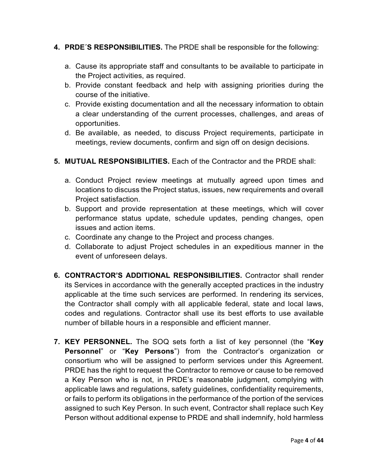## **4. PRDE´S RESPONSIBILITIES.** The PRDE shall be responsible for the following:

- a. Cause its appropriate staff and consultants to be available to participate in the Project activities, as required.
- b. Provide constant feedback and help with assigning priorities during the course of the initiative.
- c. Provide existing documentation and all the necessary information to obtain a clear understanding of the current processes, challenges, and areas of opportunities.
- d. Be available, as needed, to discuss Project requirements, participate in meetings, review documents, confirm and sign off on design decisions.

## **5. MUTUAL RESPONSIBILITIES.** Each of the Contractor and the PRDE shall:

- a. Conduct Project review meetings at mutually agreed upon times and locations to discuss the Project status, issues, new requirements and overall Project satisfaction.
- b. Support and provide representation at these meetings, which will cover performance status update, schedule updates, pending changes, open issues and action items.
- c. Coordinate any change to the Project and process changes.
- d. Collaborate to adjust Project schedules in an expeditious manner in the event of unforeseen delays.
- **6. CONTRACTOR'S ADDITIONAL RESPONSIBILITIES.** Contractor shall render its Services in accordance with the generally accepted practices in the industry applicable at the time such services are performed. In rendering its services, the Contractor shall comply with all applicable federal, state and local laws, codes and regulations. Contractor shall use its best efforts to use available number of billable hours in a responsible and efficient manner.
- **7. KEY PERSONNEL.** The SOQ sets forth a list of key personnel (the "**Key Personnel**" or "**Key Persons**") from the Contractor's organization or consortium who will be assigned to perform services under this Agreement. PRDE has the right to request the Contractor to remove or cause to be removed a Key Person who is not, in PRDE's reasonable judgment, complying with applicable laws and regulations, safety guidelines, confidentiality requirements, or fails to perform its obligations in the performance of the portion of the services assigned to such Key Person. In such event, Contractor shall replace such Key Person without additional expense to PRDE and shall indemnify, hold harmless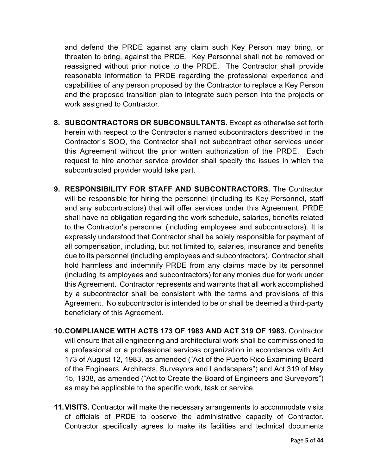and defend the PRDE against any claim such Key Person may bring, or threaten to bring, against the PRDE. Key Personnel shall not be removed or reassigned without prior notice to the PRDE. The Contractor shall provide reasonable information to PRDE regarding the professional experience and capabilities of any person proposed by the Contractor to replace a Key Person and the proposed transition plan to integrate such person into the projects or work assigned to Contractor.

- **8. SUBCONTRACTORS OR SUBCONSULTANTS.** Except as otherwise set forth herein with respect to the Contractor's named subcontractors described in the Contractor´s SOQ, the Contractor shall not subcontract other services under this Agreement without the prior written authorization of the PRDE. Each request to hire another service provider shall specify the issues in which the subcontracted provider would take part.
- **9. RESPONSIBILITY FOR STAFF AND SUBCONTRACTORS.** The Contractor will be responsible for hiring the personnel (including its Key Personnel, staff and any subcontractors) that will offer services under this Agreement. PRDE shall have no obligation regarding the work schedule, salaries, benefits related to the Contractor's personnel (including employees and subcontractors). It is expressly understood that Contractor shall be solely responsible for payment of all compensation, including, but not limited to, salaries, insurance and benefits due to its personnel (including employees and subcontractors). Contractor shall hold harmless and indemnify PRDE from any claims made by its personnel (including its employees and subcontractors) for any monies due for work under this Agreement. Contractor represents and warrants that all work accomplished by a subcontractor shall be consistent with the terms and provisions of this Agreement. No subcontractor is intended to be or shall be deemed a third-party beneficiary of this Agreement.
- **10.COMPLIANCE WITH ACTS 173 OF 1983 AND ACT 319 OF 1983.** Contractor will ensure that all engineering and architectural work shall be commissioned to a professional or a professional services organization in accordance with Act 173 of August 12, 1983, as amended ("Act of the Puerto Rico Examining Board of the Engineers, Architects, Surveyors and Landscapers") and Act 319 of May 15, 1938, as amended ("Act to Create the Board of Engineers and Surveyors") as may be applicable to the specific work, task or service.
- **11.VISITS.** Contractor will make the necessary arrangements to accommodate visits of officials of PRDE to observe the administrative capacity of Contractor**.**  Contractor specifically agrees to make its facilities and technical documents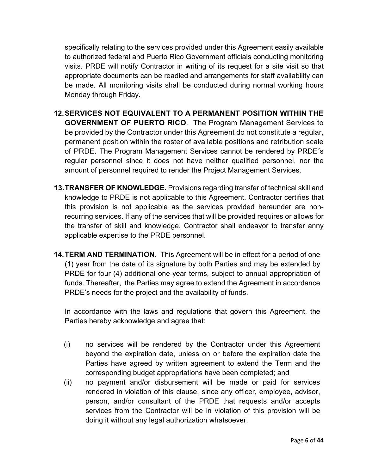specifically relating to the services provided under this Agreement easily available to authorized federal and Puerto Rico Government officials conducting monitoring visits. PRDE will notify Contractor in writing of its request for a site visit so that appropriate documents can be readied and arrangements for staff availability can be made. All monitoring visits shall be conducted during normal working hours Monday through Friday.

- **12.SERVICES NOT EQUIVALENT TO A PERMANENT POSITION WITHIN THE GOVERNMENT OF PUERTO RICO**. The Program Management Services to be provided by the Contractor under this Agreement do not constitute a regular, permanent position within the roster of available positions and retribution scale of PRDE. The Program Management Services cannot be rendered by PRDE**´**s regular personnel since it does not have neither qualified personnel, nor the amount of personnel required to render the Project Management Services.
- **13.TRANSFER OF KNOWLEDGE.** Provisions regarding transfer of technical skill and knowledge to PRDE is not applicable to this Agreement. Contractor certifies that this provision is not applicable as the services provided hereunder are nonrecurring services. If any of the services that will be provided requires or allows for the transfer of skill and knowledge, Contractor shall endeavor to transfer anny applicable expertise to the PRDE personnel.
- **14.TERM AND TERMINATION.** This Agreement will be in effect for a period of one (1) year from the date of its signature by both Parties and may be extended by PRDE for four (4) additional one-year terms, subject to annual appropriation of funds. Thereafter, the Parties may agree to extend the Agreement in accordance PRDE's needs for the project and the availability of funds.

In accordance with the laws and regulations that govern this Agreement, the Parties hereby acknowledge and agree that:

- (i) no services will be rendered by the Contractor under this Agreement beyond the expiration date, unless on or before the expiration date the Parties have agreed by written agreement to extend the Term and the corresponding budget appropriations have been completed; and
- (ii) no payment and/or disbursement will be made or paid for services rendered in violation of this clause, since any officer, employee, advisor, person, and/or consultant of the PRDE that requests and/or accepts services from the Contractor will be in violation of this provision will be doing it without any legal authorization whatsoever.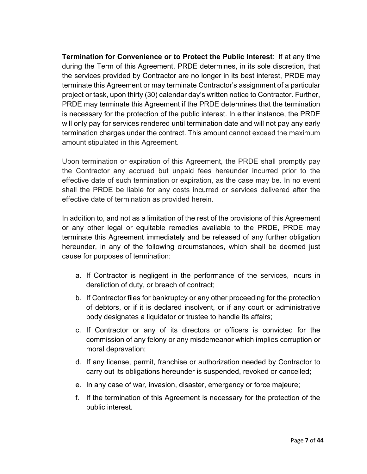**Termination for Convenience or to Protect the Public Interest**: If at any time during the Term of this Agreement, PRDE determines, in its sole discretion, that the services provided by Contractor are no longer in its best interest, PRDE may terminate this Agreement or may terminate Contractor's assignment of a particular project or task, upon thirty (30) calendar day's written notice to Contractor. Further, PRDE may terminate this Agreement if the PRDE determines that the termination is necessary for the protection of the public interest. In either instance, the PRDE will only pay for services rendered until termination date and will not pay any early termination charges under the contract. This amount cannot exceed the maximum amount stipulated in this Agreement.

Upon termination or expiration of this Agreement, the PRDE shall promptly pay the Contractor any accrued but unpaid fees hereunder incurred prior to the effective date of such termination or expiration, as the case may be. In no event shall the PRDE be liable for any costs incurred or services delivered after the effective date of termination as provided herein.

In addition to, and not as a limitation of the rest of the provisions of this Agreement or any other legal or equitable remedies available to the PRDE, PRDE may terminate this Agreement immediately and be released of any further obligation hereunder, in any of the following circumstances, which shall be deemed just cause for purposes of termination:

- a. If Contractor is negligent in the performance of the services, incurs in dereliction of duty, or breach of contract;
- b. If Contractor files for bankruptcy or any other proceeding for the protection of debtors, or if it is declared insolvent, or if any court or administrative body designates a liquidator or trustee to handle its affairs;
- c. If Contractor or any of its directors or officers is convicted for the commission of any felony or any misdemeanor which implies corruption or moral depravation;
- d. If any license, permit, franchise or authorization needed by Contractor to carry out its obligations hereunder is suspended, revoked or cancelled;
- e. In any case of war, invasion, disaster, emergency or force majeure;
- f. If the termination of this Agreement is necessary for the protection of the public interest.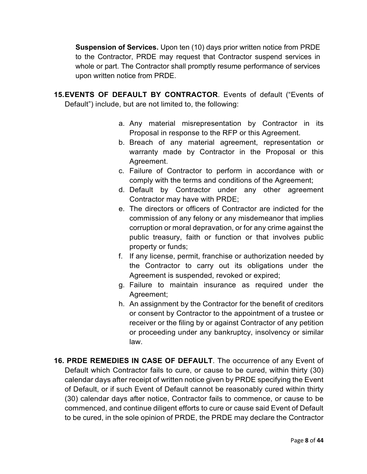**Suspension of Services.** Upon ten (10) days prior written notice from PRDE to the Contractor, PRDE may request that Contractor suspend services in whole or part. The Contractor shall promptly resume performance of services upon written notice from PRDE.

- **15.EVENTS OF DEFAULT BY CONTRACTOR**. Events of default ("Events of Default") include, but are not limited to, the following:
	- a. Any material misrepresentation by Contractor in its Proposal in response to the RFP or this Agreement.
	- b. Breach of any material agreement, representation or warranty made by Contractor in the Proposal or this Agreement.
	- c. Failure of Contractor to perform in accordance with or comply with the terms and conditions of the Agreement;
	- d. Default by Contractor under any other agreement Contractor may have with PRDE;
	- e. The directors or officers of Contractor are indicted for the commission of any felony or any misdemeanor that implies corruption or moral depravation, or for any crime against the public treasury, faith or function or that involves public property or funds;
	- f. If any license, permit, franchise or authorization needed by the Contractor to carry out its obligations under the Agreement is suspended, revoked or expired;
	- g. Failure to maintain insurance as required under the Agreement;
	- h. An assignment by the Contractor for the benefit of creditors or consent by Contractor to the appointment of a trustee or receiver or the filing by or against Contractor of any petition or proceeding under any bankruptcy, insolvency or similar law.
- **16. PRDE REMEDIES IN CASE OF DEFAULT**. The occurrence of any Event of Default which Contractor fails to cure, or cause to be cured, within thirty (30) calendar days after receipt of written notice given by PRDE specifying the Event of Default, or if such Event of Default cannot be reasonably cured within thirty (30) calendar days after notice, Contractor fails to commence, or cause to be commenced, and continue diligent efforts to cure or cause said Event of Default to be cured, in the sole opinion of PRDE, the PRDE may declare the Contractor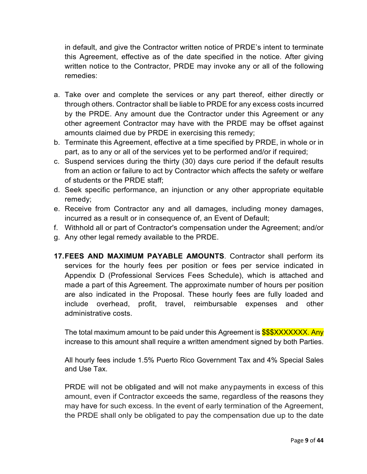in default, and give the Contractor written notice of PRDE's intent to terminate this Agreement, effective as of the date specified in the notice. After giving written notice to the Contractor, PRDE may invoke any or all of the following remedies:

- a. Take over and complete the services or any part thereof, either directly or through others. Contractor shall be liable to PRDE for any excess costs incurred by the PRDE. Any amount due the Contractor under this Agreement or any other agreement Contractor may have with the PRDE may be offset against amounts claimed due by PRDE in exercising this remedy;
- b. Terminate this Agreement, effective at a time specified by PRDE, in whole or in part, as to any or all of the services yet to be performed and/or if required;
- c. Suspend services during the thirty (30) days cure period if the default results from an action or failure to act by Contractor which affects the safety or welfare of students or the PRDE staff;
- d. Seek specific performance, an injunction or any other appropriate equitable remedy;
- e. Receive from Contractor any and all damages, including money damages, incurred as a result or in consequence of, an Event of Default;
- f. Withhold all or part of Contractor's compensation under the Agreement; and/or
- g. Any other legal remedy available to the PRDE.
- **17.FEES AND MAXIMUM PAYABLE AMOUNTS**. Contractor shall perform its services for the hourly fees per position or fees per service indicated in Appendix D (Professional Services Fees Schedule), which is attached and made a part of this Agreement. The approximate number of hours per position are also indicated in the Proposal. These hourly fees are fully loaded and include overhead, profit, travel, reimbursable expenses and other administrative costs.

The total maximum amount to be paid under this Agreement is **\$\$\$XXXXXXX.** Any increase to this amount shall require a written amendment signed by both Parties.

All hourly fees include 1.5% Puerto Rico Government Tax and 4% Special Sales and Use Tax.

PRDE will not be obligated and will not make anypayments in excess of this amount, even if Contractor exceeds the same, regardless of the reasons they may have for such excess. In the event of early termination of the Agreement, the PRDE shall only be obligated to pay the compensation due up to the date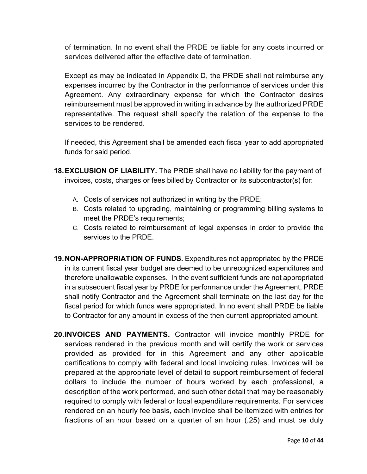of termination. In no event shall the PRDE be liable for any costs incurred or services delivered after the effective date of termination.

Except as may be indicated in Appendix D, the PRDE shall not reimburse any expenses incurred by the Contractor in the performance of services under this Agreement. Any extraordinary expense for which the Contractor desires reimbursement must be approved in writing in advance by the authorized PRDE representative. The request shall specify the relation of the expense to the services to be rendered.

If needed, this Agreement shall be amended each fiscal year to add appropriated funds for said period.

- **18.EXCLUSION OF LIABILITY.** The PRDE shall have no liability for the payment of invoices, costs, charges or fees billed by Contractor or its subcontractor(s) for:
	- A. Costs of services not authorized in writing by the PRDE;
	- B. Costs related to upgrading, maintaining or programming billing systems to meet the PRDE's requirements;
	- C. Costs related to reimbursement of legal expenses in order to provide the services to the PRDE.
- **19.NON-APPROPRIATION OF FUNDS.** Expenditures not appropriated by the PRDE in its current fiscal year budget are deemed to be unrecognized expenditures and therefore unallowable expenses. In the event sufficient funds are not appropriated in a subsequent fiscal year by PRDE for performance under the Agreement, PRDE shall notify Contractor and the Agreement shall terminate on the last day for the fiscal period for which funds were appropriated. In no event shall PRDE be liable to Contractor for any amount in excess of the then current appropriated amount.
- **20.INVOICES AND PAYMENTS.** Contractor will invoice monthly PRDE for services rendered in the previous month and will certify the work or services provided as provided for in this Agreement and any other applicable certifications to comply with federal and local invoicing rules. Invoices will be prepared at the appropriate level of detail to support reimbursement of federal dollars to include the number of hours worked by each professional, a description of the work performed, and such other detail that may be reasonably required to comply with federal or local expenditure requirements. For services rendered on an hourly fee basis, each invoice shall be itemized with entries for fractions of an hour based on a quarter of an hour (.25) and must be duly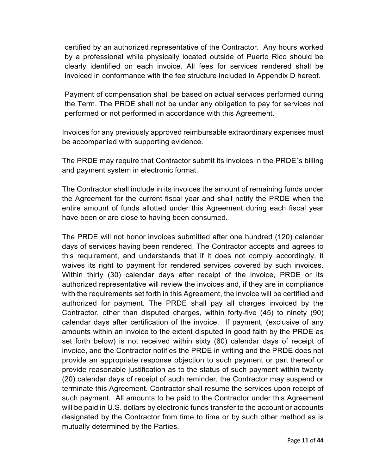certified by an authorized representative of the Contractor. Any hours worked by a professional while physically located outside of Puerto Rico should be clearly identified on each invoice. All fees for services rendered shall be invoiced in conformance with the fee structure included in Appendix D hereof.

Payment of compensation shall be based on actual services performed during the Term. The PRDE shall not be under any obligation to pay for services not performed or not performed in accordance with this Agreement.

Invoices for any previously approved reimbursable extraordinary expenses must be accompanied with supporting evidence.

The PRDE may require that Contractor submit its invoices in the PRDE´s billing and payment system in electronic format.

The Contractor shall include in its invoices the amount of remaining funds under the Agreement for the current fiscal year and shall notify the PRDE when the entire amount of funds allotted under this Agreement during each fiscal year have been or are close to having been consumed.

The PRDE will not honor invoices submitted after one hundred (120) calendar days of services having been rendered. The Contractor accepts and agrees to this requirement, and understands that if it does not comply accordingly, it waives its right to payment for rendered services covered by such invoices. Within thirty (30) calendar days after receipt of the invoice, PRDE or its authorized representative will review the invoices and, if they are in compliance with the requirements set forth in this Agreement, the invoice will be certified and authorized for payment. The PRDE shall pay all charges invoiced by the Contractor, other than disputed charges, within forty-five (45) to ninety (90) calendar days after certification of the invoice. If payment, (exclusive of any amounts within an invoice to the extent disputed in good faith by the PRDE as set forth below) is not received within sixty (60) calendar days of receipt of invoice, and the Contractor notifies the PRDE in writing and the PRDE does not provide an appropriate response objection to such payment or part thereof or provide reasonable justification as to the status of such payment within twenty (20) calendar days of receipt of such reminder, the Contractor may suspend or terminate this Agreement. Contractor shall resume the services upon receipt of such payment. All amounts to be paid to the Contractor under this Agreement will be paid in U.S. dollars by electronic funds transfer to the account or accounts designated by the Contractor from time to time or by such other method as is mutually determined by the Parties.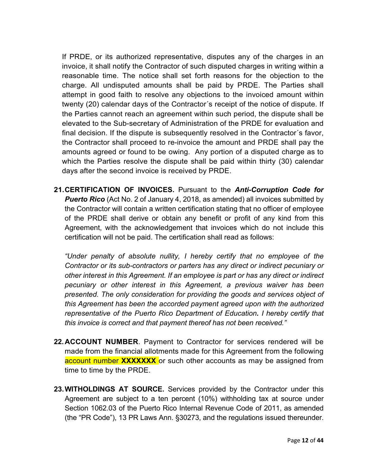If PRDE, or its authorized representative, disputes any of the charges in an invoice, it shall notify the Contractor of such disputed charges in writing within a reasonable time. The notice shall set forth reasons for the objection to the charge. All undisputed amounts shall be paid by PRDE. The Parties shall attempt in good faith to resolve any objections to the invoiced amount within twenty (20) calendar days of the Contractor´s receipt of the notice of dispute. If the Parties cannot reach an agreement within such period, the dispute shall be elevated to the Sub-secretary of Administration of the PRDE for evaluation and final decision. If the dispute is subsequently resolved in the Contractor´s favor, the Contractor shall proceed to re-invoice the amount and PRDE shall pay the amounts agreed or found to be owing. Any portion of a disputed charge as to which the Parties resolve the dispute shall be paid within thirty (30) calendar days after the second invoice is received by PRDE.

**21.CERTIFICATION OF INVOICES.** Pursuant to the *Anti-Corruption Code for Puerto Rico* (Act No. 2 of January 4, 2018, as amended) all invoices submitted by the Contractor will contain a written certification stating that no officer of employee of the PRDE shall derive or obtain any benefit or profit of any kind from this Agreement, with the acknowledgement that invoices which do not include this certification will not be paid. The certification shall read as follows:

*"Under penalty of absolute nullity, I hereby certify that no employee of the Contractor or its sub-contractors or parters has any direct or indirect pecuniary or other interest in this Agreement. If an employee is part or has any direct or indirect pecuniary or other interest in this Agreement, a previous waiver has been presented. The only consideration for providing the goods and services object of this Agreement has been the accorded payment agreed upon with the authorized representative of the Puerto Rico Department of Education. I hereby certify that this invoice is correct and that payment thereof has not been received."*

- **22.ACCOUNT NUMBER**. Payment to Contractor for services rendered will be made from the financial allotments made for this Agreement from the following account number **XXXXXXX** or such other accounts as may be assigned from time to time by the PRDE.
- **23.WITHOLDINGS AT SOURCE.** Services provided by the Contractor under this Agreement are subject to a ten percent (10%) withholding tax at source under Section 1062.03 of the Puerto Rico Internal Revenue Code of 2011, as amended (the "PR Code"), 13 PR Laws Ann. §30273, and the regulations issued thereunder.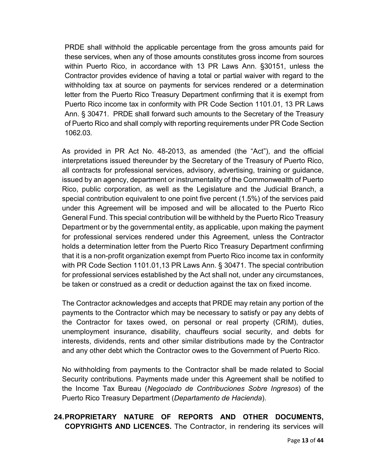PRDE shall withhold the applicable percentage from the gross amounts paid for these services, when any of those amounts constitutes gross income from sources within Puerto Rico, in accordance with 13 PR Laws Ann. §30151, unless the Contractor provides evidence of having a total or partial waiver with regard to the withholding tax at source on payments for services rendered or a determination letter from the Puerto Rico Treasury Department confirming that it is exempt from Puerto Rico income tax in conformity with PR Code Section 1101.01, 13 PR Laws Ann. § 30471. PRDE shall forward such amounts to the Secretary of the Treasury of Puerto Rico and shall comply with reporting requirements under PR Code Section 1062.03.

As provided in PR Act No. 48-2013, as amended (the "Act"), and the official interpretations issued thereunder by the Secretary of the Treasury of Puerto Rico, all contracts for professional services, advisory, advertising, training or guidance, issued by an agency, department or instrumentality of the Commonwealth of Puerto Rico, public corporation, as well as the Legislature and the Judicial Branch, a special contribution equivalent to one point five percent (1.5%) of the services paid under this Agreement will be imposed and will be allocated to the Puerto Rico General Fund. This special contribution will be withheld by the Puerto Rico Treasury Department or by the governmental entity, as applicable, upon making the payment for professional services rendered under this Agreement, unless the Contractor holds a determination letter from the Puerto Rico Treasury Department confirming that it is a non-profit organization exempt from Puerto Rico income tax in conformity with PR Code Section 1101.01,13 PR Laws Ann. § 30471. The special contribution for professional services established by the Act shall not, under any circumstances, be taken or construed as a credit or deduction against the tax on fixed income.

The Contractor acknowledges and accepts that PRDE may retain any portion of the payments to the Contractor which may be necessary to satisfy or pay any debts of the Contractor for taxes owed, on personal or real property (CRIM), duties, unemployment insurance, disability, chauffeurs social security, and debts for interests, dividends, rents and other similar distributions made by the Contractor and any other debt which the Contractor owes to the Government of Puerto Rico.

No withholding from payments to the Contractor shall be made related to Social Security contributions. Payments made under this Agreement shall be notified to the Income Tax Bureau (*Negociado de Contribuciones Sobre Ingresos*) of the Puerto Rico Treasury Department (*Departamento de Hacienda*).

# **24.PROPRIETARY NATURE OF REPORTS AND OTHER DOCUMENTS, COPYRIGHTS AND LICENCES.** The Contractor, in rendering its services will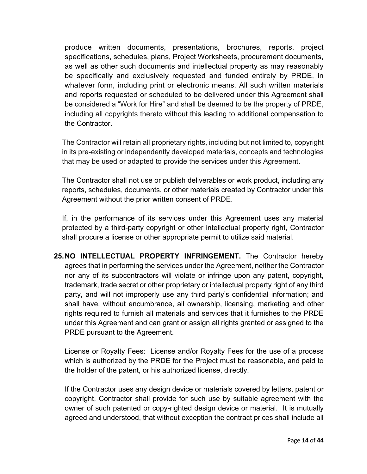produce written documents, presentations, brochures, reports, project specifications, schedules, plans, Project Worksheets, procurement documents, as well as other such documents and intellectual property as may reasonably be specifically and exclusively requested and funded entirely by PRDE, in whatever form, including print or electronic means. All such written materials and reports requested or scheduled to be delivered under this Agreement shall be considered a "Work for Hire" and shall be deemed to be the property of PRDE, including all copyrights thereto without this leading to additional compensation to the Contractor.

The Contractor will retain all proprietary rights, including but not limited to, copyright in its pre-existing or independently developed materials, concepts and technologies that may be used or adapted to provide the services under this Agreement.

The Contractor shall not use or publish deliverables or work product, including any reports, schedules, documents, or other materials created by Contractor under this Agreement without the prior written consent of PRDE.

If, in the performance of its services under this Agreement uses any material protected by a third-party copyright or other intellectual property right, Contractor shall procure a license or other appropriate permit to utilize said material.

**25.NO INTELLECTUAL PROPERTY INFRINGEMENT.** The Contractor hereby agrees that in performing the services under the Agreement, neither the Contractor nor any of its subcontractors will violate or infringe upon any patent, copyright, trademark, trade secret or other proprietary or intellectual property right of any third party, and will not improperly use any third party's confidential information; and shall have, without encumbrance, all ownership, licensing, marketing and other rights required to furnish all materials and services that it furnishes to the PRDE under this Agreement and can grant or assign all rights granted or assigned to the PRDE pursuant to the Agreement.

License or Royalty Fees: License and/or Royalty Fees for the use of a process which is authorized by the PRDE for the Project must be reasonable, and paid to the holder of the patent, or his authorized license, directly.

If the Contractor uses any design device or materials covered by letters, patent or copyright, Contractor shall provide for such use by suitable agreement with the owner of such patented or copy-righted design device or material. It is mutually agreed and understood, that without exception the contract prices shall include all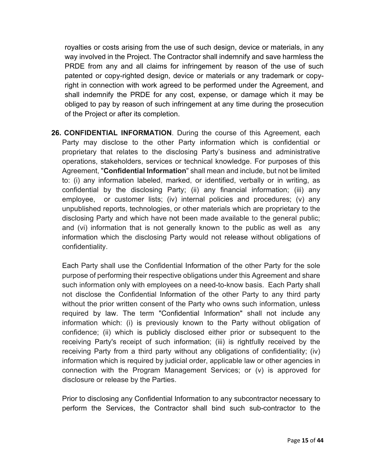royalties or costs arising from the use of such design, device or materials, in any way involved in the Project. The Contractor shall indemnify and save harmless the PRDE from any and all claims for infringement by reason of the use of such patented or copy-righted design, device or materials or any trademark or copyright in connection with work agreed to be performed under the Agreement, and shall indemnify the PRDE for any cost, expense, or damage which it may be obliged to pay by reason of such infringement at any time during the prosecution of the Project or after its completion.

**26. CONFIDENTIAL INFORMATION**. During the course of this Agreement, each Party may disclose to the other Party information which is confidential or proprietary that relates to the disclosing Party's business and administrative operations, stakeholders, services or technical knowledge. For purposes of this Agreement, "**Confidential Information**" shall mean and include, but not be limited to: (i) any information labeled, marked, or identified, verbally or in writing, as confidential by the disclosing Party; (ii) any financial information; (iii) any employee, or customer lists; (iv) internal policies and procedures; (v) any unpublished reports, technologies, or other materials which are proprietary to the disclosing Party and which have not been made available to the general public; and (vi) information that is not generally known to the public as well as any information which the disclosing Party would not release without obligations of confidentiality.

Each Party shall use the Confidential Information of the other Party for the sole purpose of performing their respective obligations under this Agreement and share such information only with employees on a need-to-know basis. Each Party shall not disclose the Confidential Information of the other Party to any third party without the prior written consent of the Party who owns such information, unless required by law. The term "Confidential Information" shall not include any information which: (i) is previously known to the Party without obligation of confidence; (ii) which is publicly disclosed either prior or subsequent to the receiving Party's receipt of such information; (iii) is rightfully received by the receiving Party from a third party without any obligations of confidentiality; (iv) information which is required by judicial order, applicable law or other agencies in connection with the Program Management Services; or (v) is approved for disclosure or release by the Parties.

Prior to disclosing any Confidential Information to any subcontractor necessary to perform the Services, the Contractor shall bind such sub-contractor to the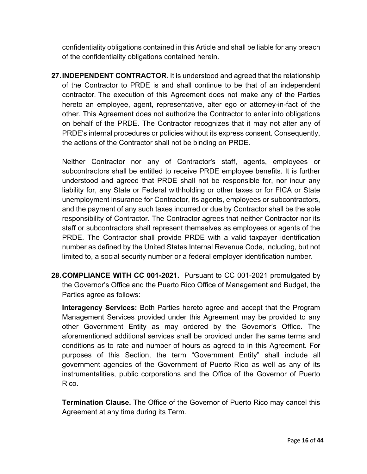confidentiality obligations contained in this Article and shall be liable for any breach of the confidentiality obligations contained herein.

**27.INDEPENDENT CONTRACTOR**. It is understood and agreed that the relationship of the Contractor to PRDE is and shall continue to be that of an independent contractor. The execution of this Agreement does not make any of the Parties hereto an employee, agent, representative, alter ego or attorney-in-fact of the other. This Agreement does not authorize the Contractor to enter into obligations on behalf of the PRDE. The Contractor recognizes that it may not alter any of PRDE's internal procedures or policies without its express consent. Consequently, the actions of the Contractor shall not be binding on PRDE.

Neither Contractor nor any of Contractor's staff, agents, employees or subcontractors shall be entitled to receive PRDE employee benefits. It is further understood and agreed that PRDE shall not be responsible for, nor incur any liability for, any State or Federal withholding or other taxes or for FICA or State unemployment insurance for Contractor, its agents, employees or subcontractors, and the payment of any such taxes incurred or due by Contractor shall be the sole responsibility of Contractor. The Contractor agrees that neither Contractor nor its staff or subcontractors shall represent themselves as employees or agents of the PRDE. The Contractor shall provide PRDE with a valid taxpayer identification number as defined by the United States Internal Revenue Code, including, but not limited to, a social security number or a federal employer identification number.

**28.COMPLIANCE WITH CC 001-2021.** Pursuant to CC 001-2021 promulgated by the Governor's Office and the Puerto Rico Office of Management and Budget, the Parties agree as follows:

**Interagency Services:** Both Parties hereto agree and accept that the Program Management Services provided under this Agreement may be provided to any other Government Entity as may ordered by the Governor's Office. The aforementioned additional services shall be provided under the same terms and conditions as to rate and number of hours as agreed to in this Agreement. For purposes of this Section, the term "Government Entity" shall include all government agencies of the Government of Puerto Rico as well as any of its instrumentalities, public corporations and the Office of the Governor of Puerto Rico.

**Termination Clause.** The Office of the Governor of Puerto Rico may cancel this Agreement at any time during its Term.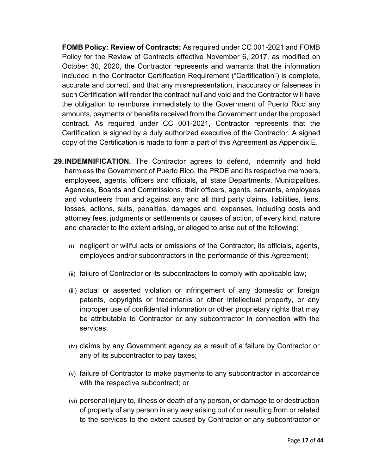**FOMB Policy: Review of Contracts:** As required under CC 001-2021 and FOMB Policy for the Review of Contracts effective November 6, 2017, as modified on October 30, 2020, the Contractor represents and warrants that the information included in the Contractor Certification Requirement ("Certification") is complete, accurate and correct, and that any misrepresentation, inaccuracy or falseness in such Certification will render the contract null and void and the Contractor will have the obligation to reimburse immediately to the Government of Puerto Rico any amounts, payments or benefits received from the Government under the proposed contract. As required under CC 001-2021, Contractor represents that the Certification is signed by a duly authorized executive of the Contractor. A signed copy of the Certification is made to form a part of this Agreement as Appendix E.

- **29.INDEMNIFICATION.** The Contractor agrees to defend, indemnify and hold harmless the Government of Puerto Rico, the PRDE and its respective members, employees, agents, officers and officials, all state Departments, Municipalities, Agencies, Boards and Commissions, their officers, agents, servants, employees and volunteers from and against any and all third party claims, liabilities, liens, losses, actions, suits, penalties, damages and, expenses, including costs and attorney fees, judgments or settlements or causes of action, of every kind, nature and character to the extent arising, or alleged to arise out of the following:
	- (i) negligent or willful acts or omissions of the Contractor, its officials, agents, employees and/or subcontractors in the performance of this Agreement;
	- (ii) failure of Contractor or its subcontractors to comply with applicable law;
	- (iii) actual or asserted violation or infringement of any domestic or foreign patents, copyrights or trademarks or other intellectual property, or any improper use of confidential information or other proprietary rights that may be attributable to Contractor or any subcontractor in connection with the services;
	- (iv) claims by any Government agency as a result of a failure by Contractor or any of its subcontractor to pay taxes;
	- (v) failure of Contractor to make payments to any subcontractor in accordance with the respective subcontract; or
	- (vi) personal injury to, illness or death of any person, or damage to or destruction of property of any person in any way arising out of or resulting from or related to the services to the extent caused by Contractor or any subcontractor or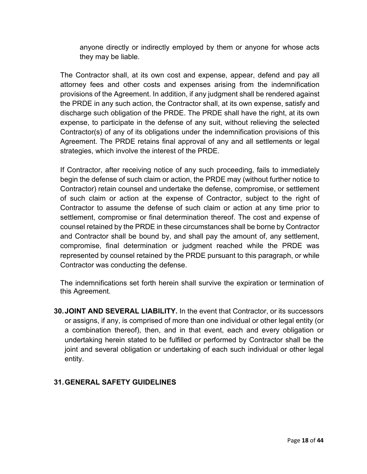anyone directly or indirectly employed by them or anyone for whose acts they may be liable.

The Contractor shall, at its own cost and expense, appear, defend and pay all attorney fees and other costs and expenses arising from the indemnification provisions of the Agreement. In addition, if any judgment shall be rendered against the PRDE in any such action, the Contractor shall, at its own expense, satisfy and discharge such obligation of the PRDE. The PRDE shall have the right, at its own expense, to participate in the defense of any suit, without relieving the selected Contractor(s) of any of its obligations under the indemnification provisions of this Agreement. The PRDE retains final approval of any and all settlements or legal strategies, which involve the interest of the PRDE.

If Contractor, after receiving notice of any such proceeding, fails to immediately begin the defense of such claim or action, the PRDE may (without further notice to Contractor) retain counsel and undertake the defense, compromise, or settlement of such claim or action at the expense of Contractor, subject to the right of Contractor to assume the defense of such claim or action at any time prior to settlement, compromise or final determination thereof. The cost and expense of counsel retained by the PRDE in these circumstances shall be borne by Contractor and Contractor shall be bound by, and shall pay the amount of, any settlement, compromise, final determination or judgment reached while the PRDE was represented by counsel retained by the PRDE pursuant to this paragraph, or while Contractor was conducting the defense.

The indemnifications set forth herein shall survive the expiration or termination of this Agreement.

**30.JOINT AND SEVERAL LIABILITY.** In the event that Contractor, or its successors or assigns, if any, is comprised of more than one individual or other legal entity (or a combination thereof), then, and in that event, each and every obligation or undertaking herein stated to be fulfilled or performed by Contractor shall be the joint and several obligation or undertaking of each such individual or other legal entity.

# **31.GENERAL SAFETY GUIDELINES**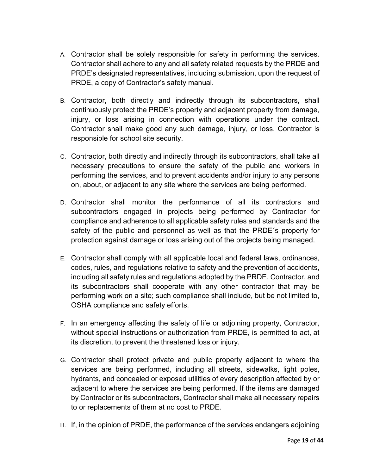- A. Contractor shall be solely responsible for safety in performing the services. Contractor shall adhere to any and all safety related requests by the PRDE and PRDE's designated representatives, including submission, upon the request of PRDE, a copy of Contractor's safety manual.
- B. Contractor, both directly and indirectly through its subcontractors, shall continuously protect the PRDE's property and adjacent property from damage, injury, or loss arising in connection with operations under the contract. Contractor shall make good any such damage, injury, or loss. Contractor is responsible for school site security.
- C. Contractor, both directly and indirectly through its subcontractors, shall take all necessary precautions to ensure the safety of the public and workers in performing the services, and to prevent accidents and/or injury to any persons on, about, or adjacent to any site where the services are being performed.
- D. Contractor shall monitor the performance of all its contractors and subcontractors engaged in projects being performed by Contractor for compliance and adherence to all applicable safety rules and standards and the safety of the public and personnel as well as that the PRDE´s property for protection against damage or loss arising out of the projects being managed.
- E. Contractor shall comply with all applicable local and federal laws, ordinances, codes, rules, and regulations relative to safety and the prevention of accidents, including all safety rules and regulations adopted by the PRDE. Contractor, and its subcontractors shall cooperate with any other contractor that may be performing work on a site; such compliance shall include, but be not limited to, OSHA compliance and safety efforts.
- F. In an emergency affecting the safety of life or adjoining property, Contractor, without special instructions or authorization from PRDE, is permitted to act, at its discretion, to prevent the threatened loss or injury.
- G. Contractor shall protect private and public property adjacent to where the services are being performed, including all streets, sidewalks, light poles, hydrants, and concealed or exposed utilities of every description affected by or adjacent to where the services are being performed. If the items are damaged by Contractor or its subcontractors, Contractor shall make all necessary repairs to or replacements of them at no cost to PRDE.
- H. If, in the opinion of PRDE, the performance of the services endangers adjoining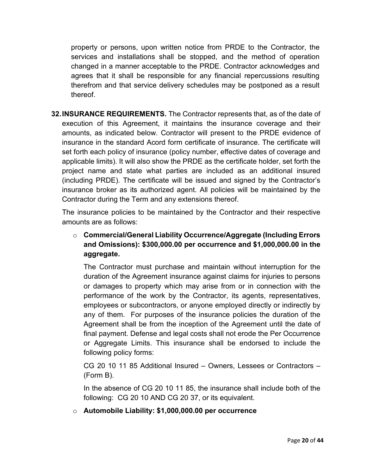property or persons, upon written notice from PRDE to the Contractor, the services and installations shall be stopped, and the method of operation changed in a manner acceptable to the PRDE. Contractor acknowledges and agrees that it shall be responsible for any financial repercussions resulting therefrom and that service delivery schedules may be postponed as a result thereof.

**32.INSURANCE REQUIREMENTS.** The Contractor represents that, as of the date of execution of this Agreement, it maintains the insurance coverage and their amounts, as indicated below. Contractor will present to the PRDE evidence of insurance in the standard Acord form certificate of insurance. The certificate will set forth each policy of insurance (policy number, effective dates of coverage and applicable limits). It will also show the PRDE as the certificate holder, set forth the project name and state what parties are included as an additional insured (including PRDE). The certificate will be issued and signed by the Contractor's insurance broker as its authorized agent. All policies will be maintained by the Contractor during the Term and any extensions thereof.

The insurance policies to be maintained by the Contractor and their respective amounts are as follows:

# o **Commercial/General Liability Occurrence/Aggregate (Including Errors and Omissions): \$300,000.00 per occurrence and \$1,000,000.00 in the aggregate.**

The Contractor must purchase and maintain without interruption for the duration of the Agreement insurance against claims for injuries to persons or damages to property which may arise from or in connection with the performance of the work by the Contractor, its agents, representatives, employees or subcontractors, or anyone employed directly or indirectly by any of them. For purposes of the insurance policies the duration of the Agreement shall be from the inception of the Agreement until the date of final payment. Defense and legal costs shall not erode the Per Occurrence or Aggregate Limits. This insurance shall be endorsed to include the following policy forms:

CG 20 10 11 85 Additional Insured – Owners, Lessees or Contractors – (Form B).

In the absence of CG 20 10 11 85, the insurance shall include both of the following: CG 20 10 AND CG 20 37, or its equivalent.

o **Automobile Liability: \$1,000,000.00 per occurrence**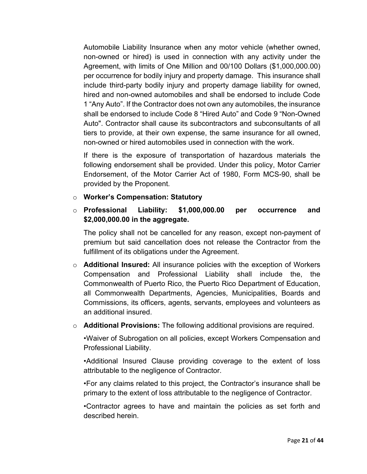Automobile Liability Insurance when any motor vehicle (whether owned, non-owned or hired) is used in connection with any activity under the Agreement, with limits of One Million and 00/100 Dollars (\$1,000,000.00) per occurrence for bodily injury and property damage. This insurance shall include third-party bodily injury and property damage liability for owned, hired and non-owned automobiles and shall be endorsed to include Code 1 "Any Auto". If the Contractor does not own any automobiles, the insurance shall be endorsed to include Code 8 "Hired Auto" and Code 9 "Non-Owned Auto". Contractor shall cause its subcontractors and subconsultants of all tiers to provide, at their own expense, the same insurance for all owned, non-owned or hired automobiles used in connection with the work.

If there is the exposure of transportation of hazardous materials the following endorsement shall be provided. Under this policy, Motor Carrier Endorsement, of the Motor Carrier Act of 1980, Form MCS-90, shall be provided by the Proponent.

- o **Worker's Compensation: Statutory**
- o **Professional Liability: \$1,000,000.00 per occurrence and \$2,000,000.00 in the aggregate.**

The policy shall not be cancelled for any reason, except non-payment of premium but said cancellation does not release the Contractor from the fulfillment of its obligations under the Agreement.

- o **Additional Insured:** All insurance policies with the exception of Workers Compensation and Professional Liability shall include the, the Commonwealth of Puerto Rico, the Puerto Rico Department of Education, all Commonwealth Departments, Agencies, Municipalities, Boards and Commissions, its officers, agents, servants, employees and volunteers as an additional insured.
- o **Additional Provisions:** The following additional provisions are required.

•Waiver of Subrogation on all policies, except Workers Compensation and Professional Liability.

•Additional Insured Clause providing coverage to the extent of loss attributable to the negligence of Contractor.

•For any claims related to this project, the Contractor's insurance shall be primary to the extent of loss attributable to the negligence of Contractor.

•Contractor agrees to have and maintain the policies as set forth and described herein.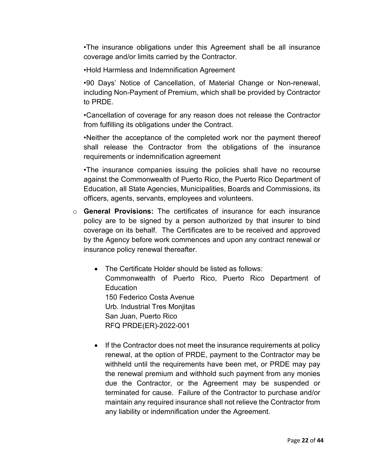•The insurance obligations under this Agreement shall be all insurance coverage and/or limits carried by the Contractor.

•Hold Harmless and Indemnification Agreement

•90 Days' Notice of Cancellation, of Material Change or Non-renewal, including Non-Payment of Premium, which shall be provided by Contractor to PRDE.

•Cancellation of coverage for any reason does not release the Contractor from fulfilling its obligations under the Contract.

•Neither the acceptance of the completed work nor the payment thereof shall release the Contractor from the obligations of the insurance requirements or indemnification agreement

•The insurance companies issuing the policies shall have no recourse against the Commonwealth of Puerto Rico, the Puerto Rico Department of Education, all State Agencies, Municipalities, Boards and Commissions, its officers, agents, servants, employees and volunteers.

- o **General Provisions:** The certificates of insurance for each insurance policy are to be signed by a person authorized by that insurer to bind coverage on its behalf. The Certificates are to be received and approved by the Agency before work commences and upon any contract renewal or insurance policy renewal thereafter.
	- The Certificate Holder should be listed as follows: Commonwealth of Puerto Rico, Puerto Rico Department of **Education** 150 Federico Costa Avenue Urb. Industrial Tres Monjitas San Juan, Puerto Rico RFQ PRDE(ER)-2022-001
	- If the Contractor does not meet the insurance requirements at policy renewal, at the option of PRDE, payment to the Contractor may be withheld until the requirements have been met, or PRDE may pay the renewal premium and withhold such payment from any monies due the Contractor, or the Agreement may be suspended or terminated for cause. Failure of the Contractor to purchase and/or maintain any required insurance shall not relieve the Contractor from any liability or indemnification under the Agreement.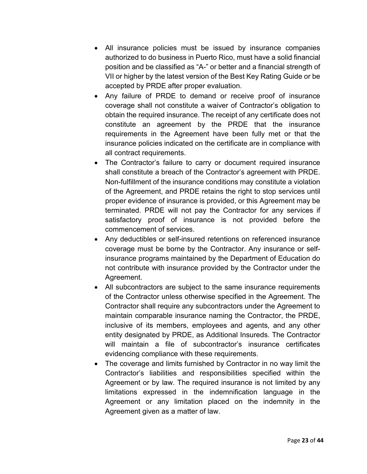- All insurance policies must be issued by insurance companies authorized to do business in Puerto Rico, must have a solid financial position and be classified as "A-" or better and a financial strength of VII or higher by the latest version of the Best Key Rating Guide or be accepted by PRDE after proper evaluation.
- Any failure of PRDE to demand or receive proof of insurance coverage shall not constitute a waiver of Contractor's obligation to obtain the required insurance. The receipt of any certificate does not constitute an agreement by the PRDE that the insurance requirements in the Agreement have been fully met or that the insurance policies indicated on the certificate are in compliance with all contract requirements.
- The Contractor's failure to carry or document required insurance shall constitute a breach of the Contractor's agreement with PRDE. Non-fulfillment of the insurance conditions may constitute a violation of the Agreement, and PRDE retains the right to stop services until proper evidence of insurance is provided, or this Agreement may be terminated. PRDE will not pay the Contractor for any services if satisfactory proof of insurance is not provided before the commencement of services.
- Any deductibles or self-insured retentions on referenced insurance coverage must be borne by the Contractor. Any insurance or selfinsurance programs maintained by the Department of Education do not contribute with insurance provided by the Contractor under the Agreement.
- All subcontractors are subject to the same insurance requirements of the Contractor unless otherwise specified in the Agreement. The Contractor shall require any subcontractors under the Agreement to maintain comparable insurance naming the Contractor, the PRDE, inclusive of its members, employees and agents, and any other entity designated by PRDE, as Additional Insureds. The Contractor will maintain a file of subcontractor's insurance certificates evidencing compliance with these requirements.
- The coverage and limits furnished by Contractor in no way limit the Contractor's liabilities and responsibilities specified within the Agreement or by law. The required insurance is not limited by any limitations expressed in the indemnification language in the Agreement or any limitation placed on the indemnity in the Agreement given as a matter of law.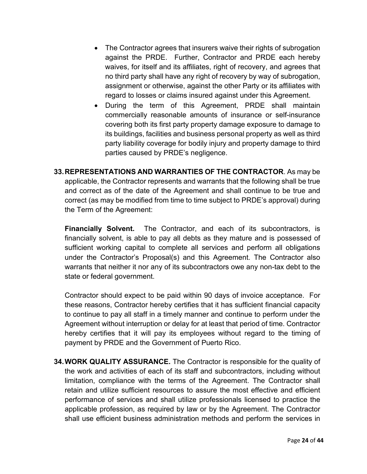- The Contractor agrees that insurers waive their rights of subrogation against the PRDE. Further, Contractor and PRDE each hereby waives, for itself and its affiliates, right of recovery, and agrees that no third party shall have any right of recovery by way of subrogation, assignment or otherwise, against the other Party or its affiliates with regard to losses or claims insured against under this Agreement.
- During the term of this Agreement, PRDE shall maintain commercially reasonable amounts of insurance or self-insurance covering both its first party property damage exposure to damage to its buildings, facilities and business personal property as well as third party liability coverage for bodily injury and property damage to third parties caused by PRDE's negligence.
- **33.REPRESENTATIONS AND WARRANTIES OF THE CONTRACTOR**. As may be applicable, the Contractor represents and warrants that the following shall be true and correct as of the date of the Agreement and shall continue to be true and correct (as may be modified from time to time subject to PRDE's approval) during the Term of the Agreement:

**Financially Solvent.** The Contractor, and each of its subcontractors, is financially solvent, is able to pay all debts as they mature and is possessed of sufficient working capital to complete all services and perform all obligations under the Contractor's Proposal(s) and this Agreement. The Contractor also warrants that neither it nor any of its subcontractors owe any non-tax debt to the state or federal government.

Contractor should expect to be paid within 90 days of invoice acceptance. For these reasons, Contractor hereby certifies that it has sufficient financial capacity to continue to pay all staff in a timely manner and continue to perform under the Agreement without interruption or delay for at least that period of time. Contractor hereby certifies that it will pay its employees without regard to the timing of payment by PRDE and the Government of Puerto Rico.

**34.WORK QUALITY ASSURANCE.** The Contractor is responsible for the quality of the work and activities of each of its staff and subcontractors, including without limitation, compliance with the terms of the Agreement. The Contractor shall retain and utilize sufficient resources to assure the most effective and efficient performance of services and shall utilize professionals licensed to practice the applicable profession, as required by law or by the Agreement. The Contractor shall use efficient business administration methods and perform the services in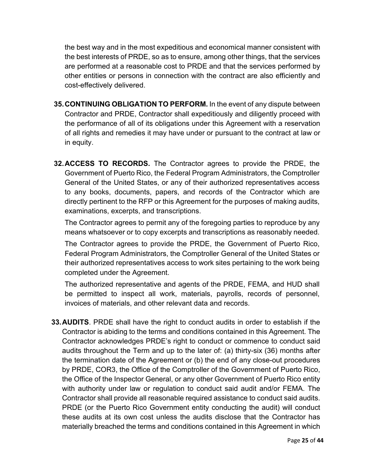the best way and in the most expeditious and economical manner consistent with the best interests of PRDE, so as to ensure, among other things, that the services are performed at a reasonable cost to PRDE and that the services performed by other entities or persons in connection with the contract are also efficiently and cost-effectively delivered.

- **35.CONTINUING OBLIGATION TO PERFORM.** In the event of any dispute between Contractor and PRDE, Contractor shall expeditiously and diligently proceed with the performance of all of its obligations under this Agreement with a reservation of all rights and remedies it may have under or pursuant to the contract at law or in equity.
- **32.ACCESS TO RECORDS.** The Contractor agrees to provide the PRDE, the Government of Puerto Rico, the Federal Program Administrators, the Comptroller General of the United States, or any of their authorized representatives access to any books, documents, papers, and records of the Contractor which are directly pertinent to the RFP or this Agreement for the purposes of making audits, examinations, excerpts, and transcriptions.

The Contractor agrees to permit any of the foregoing parties to reproduce by any means whatsoever or to copy excerpts and transcriptions as reasonably needed.

The Contractor agrees to provide the PRDE, the Government of Puerto Rico, Federal Program Administrators, the Comptroller General of the United States or their authorized representatives access to work sites pertaining to the work being completed under the Agreement.

The authorized representative and agents of the PRDE, FEMA, and HUD shall be permitted to inspect all work, materials, payrolls, records of personnel, invoices of materials, and other relevant data and records.

**33.AUDITS**. PRDE shall have the right to conduct audits in order to establish if the Contractor is abiding to the terms and conditions contained in this Agreement. The Contractor acknowledges PRDE's right to conduct or commence to conduct said audits throughout the Term and up to the later of: (a) thirty-six (36) months after the termination date of the Agreement or (b) the end of any close-out procedures by PRDE, COR3, the Office of the Comptroller of the Government of Puerto Rico, the Office of the Inspector General, or any other Government of Puerto Rico entity with authority under law or regulation to conduct said audit and/or FEMA. The Contractor shall provide all reasonable required assistance to conduct said audits. PRDE (or the Puerto Rico Government entity conducting the audit) will conduct these audits at its own cost unless the audits disclose that the Contractor has materially breached the terms and conditions contained in this Agreement in which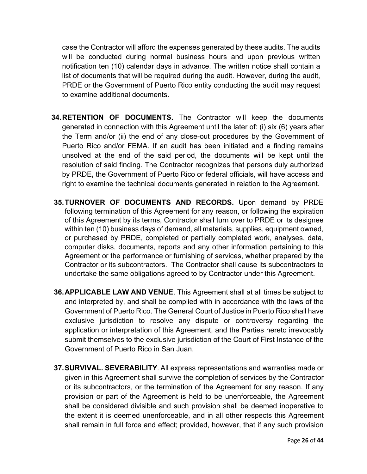case the Contractor will afford the expenses generated by these audits. The audits will be conducted during normal business hours and upon previous written notification ten (10) calendar days in advance. The written notice shall contain a list of documents that will be required during the audit. However, during the audit, PRDE or the Government of Puerto Rico entity conducting the audit may request to examine additional documents.

- **34.RETENTION OF DOCUMENTS.** The Contractor will keep the documents generated in connection with this Agreement until the later of: (i) six (6) years after the Term and/or (ii) the end of any close-out procedures by the Government of Puerto Rico and/or FEMA. If an audit has been initiated and a finding remains unsolved at the end of the said period, the documents will be kept until the resolution of said finding. The Contractor recognizes that persons duly authorized by PRDE**,** the Government of Puerto Rico or federal officials, will have access and right to examine the technical documents generated in relation to the Agreement.
- **35.TURNOVER OF DOCUMENTS AND RECORDS.** Upon demand by PRDE following termination of this Agreement for any reason, or following the expiration of this Agreement by its terms, Contractor shall turn over to PRDE or its designee within ten (10) business days of demand, all materials, supplies, equipment owned, or purchased by PRDE, completed or partially completed work, analyses, data, computer disks, documents, reports and any other information pertaining to this Agreement or the performance or furnishing of services, whether prepared by the Contractor or its subcontractors. The Contractor shall cause its subcontractors to undertake the same obligations agreed to by Contractor under this Agreement.
- **36.APPLICABLE LAW AND VENUE**. This Agreement shall at all times be subject to and interpreted by, and shall be complied with in accordance with the laws of the Government of Puerto Rico. The General Court of Justice in Puerto Rico shall have exclusive jurisdiction to resolve any dispute or controversy regarding the application or interpretation of this Agreement, and the Parties hereto irrevocably submit themselves to the exclusive jurisdiction of the Court of First Instance of the Government of Puerto Rico in San Juan.
- **37.SURVIVAL. SEVERABILITY**. All express representations and warranties made or given in this Agreement shall survive the completion of services by the Contractor or its subcontractors, or the termination of the Agreement for any reason. If any provision or part of the Agreement is held to be unenforceable, the Agreement shall be considered divisible and such provision shall be deemed inoperative to the extent it is deemed unenforceable, and in all other respects this Agreement shall remain in full force and effect; provided, however, that if any such provision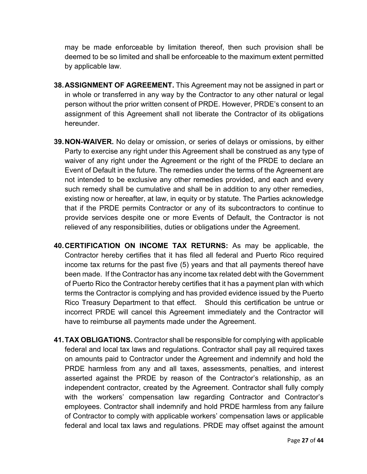may be made enforceable by limitation thereof, then such provision shall be deemed to be so limited and shall be enforceable to the maximum extent permitted by applicable law.

- **38.ASSIGNMENT OF AGREEMENT.** This Agreement may not be assigned in part or in whole or transferred in any way by the Contractor to any other natural or legal person without the prior written consent of PRDE. However, PRDE's consent to an assignment of this Agreement shall not liberate the Contractor of its obligations hereunder.
- **39.NON-WAIVER.** No delay or omission, or series of delays or omissions, by either Party to exercise any right under this Agreement shall be construed as any type of waiver of any right under the Agreement or the right of the PRDE to declare an Event of Default in the future. The remedies under the terms of the Agreement are not intended to be exclusive any other remedies provided, and each and every such remedy shall be cumulative and shall be in addition to any other remedies, existing now or hereafter, at law, in equity or by statute. The Parties acknowledge that if the PRDE permits Contractor or any of its subcontractors to continue to provide services despite one or more Events of Default, the Contractor is not relieved of any responsibilities, duties or obligations under the Agreement.
- **40.CERTIFICATION ON INCOME TAX RETURNS:** As may be applicable, the Contractor hereby certifies that it has filed all federal and Puerto Rico required income tax returns for the past five (5) years and that all payments thereof have been made. If the Contractor has any income tax related debt with the Government of Puerto Rico the Contractor hereby certifies that it has a payment plan with which terms the Contractor is complying and has provided evidence issued by the Puerto Rico Treasury Department to that effect. Should this certification be untrue or incorrect PRDE will cancel this Agreement immediately and the Contractor will have to reimburse all payments made under the Agreement.
- **41.TAX OBLIGATIONS.** Contractor shall be responsible for complying with applicable federal and local tax laws and regulations. Contractor shall pay all required taxes on amounts paid to Contractor under the Agreement and indemnify and hold the PRDE harmless from any and all taxes, assessments, penalties, and interest asserted against the PRDE by reason of the Contractor's relationship, as an independent contractor, created by the Agreement. Contractor shall fully comply with the workers' compensation law regarding Contractor and Contractor's employees. Contractor shall indemnify and hold PRDE harmless from any failure of Contractor to comply with applicable workers' compensation laws or applicable federal and local tax laws and regulations. PRDE may offset against the amount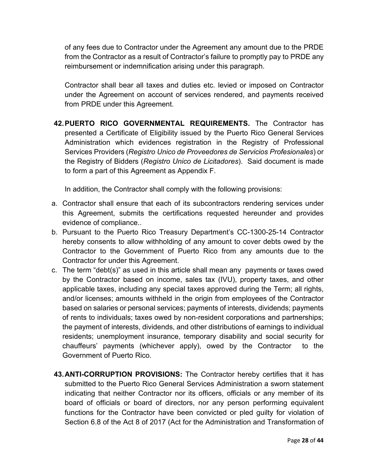of any fees due to Contractor under the Agreement any amount due to the PRDE from the Contractor as a result of Contractor's failure to promptly pay to PRDE any reimbursement or indemnification arising under this paragraph.

Contractor shall bear all taxes and duties etc. levied or imposed on Contractor under the Agreement on account of services rendered, and payments received from PRDE under this Agreement.

**42.PUERTO RICO GOVERNMENTAL REQUIREMENTS.** The Contractor has presented a Certificate of Eligibility issued by the Puerto Rico General Services Administration which evidences registration in the Registry of Professional Services Providers (*Registro Unico de Proveedores de Servicios Profesionales*) or the Registry of Bidders (*Registro Unico de Licitadores*). Said document is made to form a part of this Agreement as Appendix F.

In addition, the Contractor shall comply with the following provisions:

- a. Contractor shall ensure that each of its subcontractors rendering services under this Agreement, submits the certifications requested hereunder and provides evidence of compliance..
- b. Pursuant to the Puerto Rico Treasury Department's CC-1300-25-14 Contractor hereby consents to allow withholding of any amount to cover debts owed by the Contractor to the Government of Puerto Rico from any amounts due to the Contractor for under this Agreement.
- c. The term "debt(s)" as used in this article shall mean any payments or taxes owed by the Contractor based on income, sales tax (IVU), property taxes, and other applicable taxes, including any special taxes approved during the Term; all rights, and/or licenses; amounts withheld in the origin from employees of the Contractor based on salaries or personal services; payments of interests, dividends; payments of rents to individuals; taxes owed by non-resident corporations and partnerships; the payment of interests, dividends, and other distributions of earnings to individual residents; unemployment insurance, temporary disability and social security for chauffeurs' payments (whichever apply), owed by the Contractor to the Government of Puerto Rico.
- **43.ANTI-CORRUPTION PROVISIONS:** The Contractor hereby certifies that it has submitted to the Puerto Rico General Services Administration a sworn statement indicating that neither Contractor nor its officers, officials or any member of its board of officials or board of directors, nor any person performing equivalent functions for the Contractor have been convicted or pled guilty for violation of Section 6.8 of the Act 8 of 2017 (Act for the Administration and Transformation of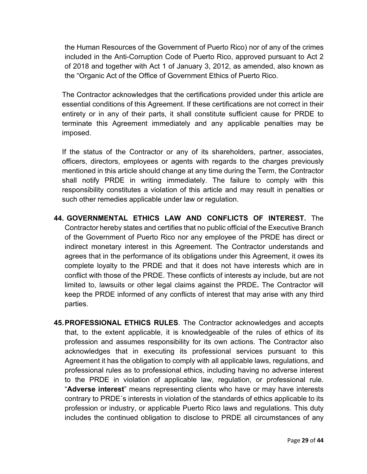the Human Resources of the Government of Puerto Rico) nor of any of the crimes included in the Anti-Corruption Code of Puerto Rico, approved pursuant to Act 2 of 2018 and together with Act 1 of January 3, 2012, as amended, also known as the "Organic Act of the Office of Government Ethics of Puerto Rico.

The Contractor acknowledges that the certifications provided under this article are essential conditions of this Agreement. If these certifications are not correct in their entirety or in any of their parts, it shall constitute sufficient cause for PRDE to terminate this Agreement immediately and any applicable penalties may be imposed.

If the status of the Contractor or any of its shareholders, partner, associates, officers, directors, employees or agents with regards to the charges previously mentioned in this article should change at any time during the Term, the Contractor shall notify PRDE in writing immediately. The failure to comply with this responsibility constitutes a violation of this article and may result in penalties or such other remedies applicable under law or regulation.

- **44. GOVERNMENTAL ETHICS LAW AND CONFLICTS OF INTEREST.** The Contractor hereby states and certifies that no public official of the Executive Branch of the Government of Puerto Rico nor any employee of the PRDE has direct or indirect monetary interest in this Agreement. The Contractor understands and agrees that in the performance of its obligations under this Agreement, it owes its complete loyalty to the PRDE and that it does not have interests which are in conflict with those of the PRDE. These conflicts of interests ay include, but are not limited to, lawsuits or other legal claims against the PRDE**.** The Contractor will keep the PRDE informed of any conflicts of interest that may arise with any third parties.
- **45.PROFESSIONAL ETHICS RULES**. The Contractor acknowledges and accepts that, to the extent applicable, it is knowledgeable of the rules of ethics of its profession and assumes responsibility for its own actions. The Contractor also acknowledges that in executing its professional services pursuant to this Agreement it has the obligation to comply with all applicable laws, regulations, and professional rules as to professional ethics, including having no adverse interest to the PRDE in violation of applicable law, regulation, or professional rule. "**Adverse interest**" means representing clients who have or may have interests contrary to PRDE´s interests in violation of the standards of ethics applicable to its profession or industry, or applicable Puerto Rico laws and regulations. This duty includes the continued obligation to disclose to PRDE all circumstances of any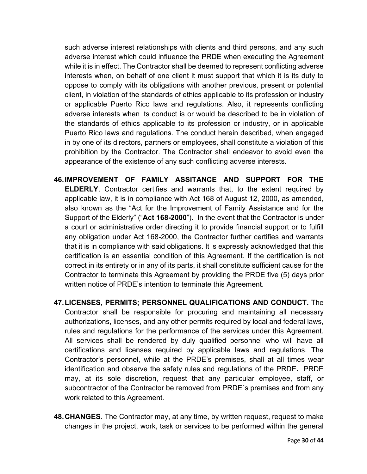such adverse interest relationships with clients and third persons, and any such adverse interest which could influence the PRDE when executing the Agreement while it is in effect. The Contractor shall be deemed to represent conflicting adverse interests when, on behalf of one client it must support that which it is its duty to oppose to comply with its obligations with another previous, present or potential client, in violation of the standards of ethics applicable to its profession or industry or applicable Puerto Rico laws and regulations. Also, it represents conflicting adverse interests when its conduct is or would be described to be in violation of the standards of ethics applicable to its profession or industry, or in applicable Puerto Rico laws and regulations. The conduct herein described, when engaged in by one of its directors, partners or employees, shall constitute a violation of this prohibition by the Contractor. The Contractor shall endeavor to avoid even the appearance of the existence of any such conflicting adverse interests.

- **46.IMPROVEMENT OF FAMILY ASSITANCE AND SUPPORT FOR THE ELDERLY**. Contractor certifies and warrants that, to the extent required by applicable law, it is in compliance with Act 168 of August 12, 2000, as amended, also known as the "Act for the Improvement of Family Assistance and for the Support of the Elderly" ("**Act 168-2000**"). In the event that the Contractor is under a court or administrative order directing it to provide financial support or to fulfill any obligation under Act 168-2000, the Contractor further certifies and warrants that it is in compliance with said obligations. It is expressly acknowledged that this certification is an essential condition of this Agreement. If the certification is not correct in its entirety or in any of its parts, it shall constitute sufficient cause for the Contractor to terminate this Agreement by providing the PRDE five (5) days prior written notice of PRDE's intention to terminate this Agreement.
- **47.LICENSES, PERMITS; PERSONNEL QUALIFICATIONS AND CONDUCT.** The Contractor shall be responsible for procuring and maintaining all necessary authorizations, licenses, and any other permits required by local and federal laws, rules and regulations for the performance of the services under this Agreement. All services shall be rendered by duly qualified personnel who will have all certifications and licenses required by applicable laws and regulations. The Contractor's personnel, while at the PRDE's premises, shall at all times wear identification and observe the safety rules and regulations of the PRDE**.** PRDE may, at its sole discretion, request that any particular employee, staff, or subcontractor of the Contractor be removed from PRDE´s premises and from any work related to this Agreement.
- **48.CHANGES**. The Contractor may, at any time, by written request, request to make changes in the project, work, task or services to be performed within the general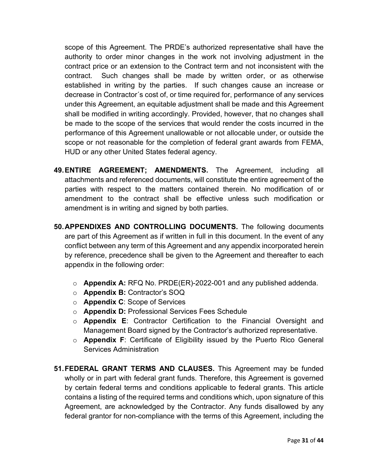scope of this Agreement. The PRDE's authorized representative shall have the authority to order minor changes in the work not involving adjustment in the contract price or an extension to the Contract term and not inconsistent with the contract. Such changes shall be made by written order, or as otherwise established in writing by the parties. If such changes cause an increase or decrease in Contractor´s cost of, or time required for, performance of any services under this Agreement, an equitable adjustment shall be made and this Agreement shall be modified in writing accordingly. Provided, however, that no changes shall be made to the scope of the services that would render the costs incurred in the performance of this Agreement unallowable or not allocable under, or outside the scope or not reasonable for the completion of federal grant awards from FEMA, HUD or any other United States federal agency.

- **49.ENTIRE AGREEMENT; AMENDMENTS.** The Agreement, including all attachments and referenced documents, will constitute the entire agreement of the parties with respect to the matters contained therein. No modification of or amendment to the contract shall be effective unless such modification or amendment is in writing and signed by both parties.
- **50.APPENDIXES AND CONTROLLING DOCUMENTS.** The following documents are part of this Agreement as if written in full in this document. In the event of any conflict between any term of this Agreement and any appendix incorporated herein by reference, precedence shall be given to the Agreement and thereafter to each appendix in the following order:
	- o **Appendix A:** RFQ No. PRDE(ER)-2022-001 and any published addenda.
	- o **Appendix B:** Contractor's SOQ
	- o **Appendix C**: Scope of Services
	- o **Appendix D:** Professional Services Fees Schedule
	- o **Appendix E**: Contractor Certification to the Financial Oversight and Management Board signed by the Contractor's authorized representative.
	- o **Appendix F**: Certificate of Eligibility issued by the Puerto Rico General Services Administration
- **51.FEDERAL GRANT TERMS AND CLAUSES.** This Agreement may be funded wholly or in part with federal grant funds. Therefore, this Agreement is governed by certain federal terms and conditions applicable to federal grants. This article contains a listing of the required terms and conditions which, upon signature of this Agreement, are acknowledged by the Contractor. Any funds disallowed by any federal grantor for non-compliance with the terms of this Agreement, including the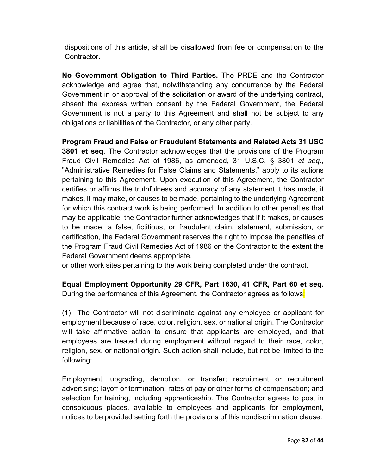dispositions of this article, shall be disallowed from fee or compensation to the Contractor.

**No Government Obligation to Third Parties.** The PRDE and the Contractor acknowledge and agree that, notwithstanding any concurrence by the Federal Government in or approval of the solicitation or award of the underlying contract, absent the express written consent by the Federal Government, the Federal Government is not a party to this Agreement and shall not be subject to any obligations or liabilities of the Contractor, or any other party.

**Program Fraud and False or Fraudulent Statements and Related Acts 31 USC 3801 et seq**. The Contractor acknowledges that the provisions of the Program Fraud Civil Remedies Act of 1986, as amended, 31 U.S.C. § 3801 *et seq*., "Administrative Remedies for False Claims and Statements," apply to its actions pertaining to this Agreement. Upon execution of this Agreement, the Contractor certifies or affirms the truthfulness and accuracy of any statement it has made, it makes, it may make, or causes to be made, pertaining to the underlying Agreement for which this contract work is being performed. In addition to other penalties that may be applicable, the Contractor further acknowledges that if it makes, or causes to be made, a false, fictitious, or fraudulent claim, statement, submission, or certification, the Federal Government reserves the right to impose the penalties of the Program Fraud Civil Remedies Act of 1986 on the Contractor to the extent the Federal Government deems appropriate.

or other work sites pertaining to the work being completed under the contract.

**Equal Employment Opportunity 29 CFR, Part 1630, 41 CFR, Part 60 et seq.** During the performance of this Agreement, the Contractor agrees as follows<mark>:</mark>

(1) The Contractor will not discriminate against any employee or applicant for employment because of race, color, religion, sex, or national origin. The Contractor will take affirmative action to ensure that applicants are employed, and that employees are treated during employment without regard to their race, color, religion, sex, or national origin. Such action shall include, but not be limited to the following:

Employment, upgrading, demotion, or transfer; recruitment or recruitment advertising; layoff or termination; rates of pay or other forms of compensation; and selection for training, including apprenticeship. The Contractor agrees to post in conspicuous places, available to employees and applicants for employment, notices to be provided setting forth the provisions of this nondiscrimination clause.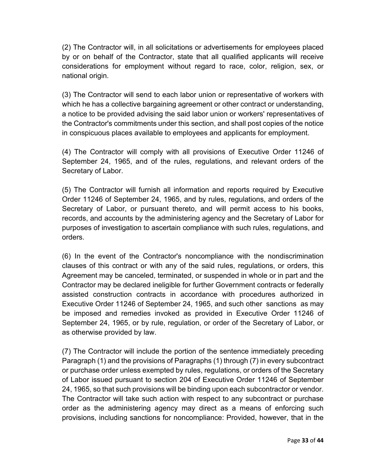(2) The Contractor will, in all solicitations or advertisements for employees placed by or on behalf of the Contractor, state that all qualified applicants will receive considerations for employment without regard to race, color, religion, sex, or national origin.

(3) The Contractor will send to each labor union or representative of workers with which he has a collective bargaining agreement or other contract or understanding, a notice to be provided advising the said labor union or workers' representatives of the Contractor's commitments under this section, and shall post copies of the notice in conspicuous places available to employees and applicants for employment.

(4) The Contractor will comply with all provisions of Executive Order 11246 of September 24, 1965, and of the rules, regulations, and relevant orders of the Secretary of Labor.

(5) The Contractor will furnish all information and reports required by Executive Order 11246 of September 24, 1965, and by rules, regulations, and orders of the Secretary of Labor, or pursuant thereto, and will permit access to his books, records, and accounts by the administering agency and the Secretary of Labor for purposes of investigation to ascertain compliance with such rules, regulations, and orders.

(6) In the event of the Contractor's noncompliance with the nondiscrimination clauses of this contract or with any of the said rules, regulations, or orders, this Agreement may be canceled, terminated, or suspended in whole or in part and the Contractor may be declared ineligible for further Government contracts or federally assisted construction contracts in accordance with procedures authorized in Executive Order 11246 of September 24, 1965, and such other sanctions as may be imposed and remedies invoked as provided in Executive Order 11246 of September 24, 1965, or by rule, regulation, or order of the Secretary of Labor, or as otherwise provided by law.

(7) The Contractor will include the portion of the sentence immediately preceding Paragraph (1) and the provisions of Paragraphs (1) through (7) in every subcontract or purchase order unless exempted by rules, regulations, or orders of the Secretary of Labor issued pursuant to section 204 of Executive Order 11246 of September 24, 1965, so that such provisions will be binding upon each subcontractor or vendor. The Contractor will take such action with respect to any subcontract or purchase order as the administering agency may direct as a means of enforcing such provisions, including sanctions for noncompliance: Provided, however, that in the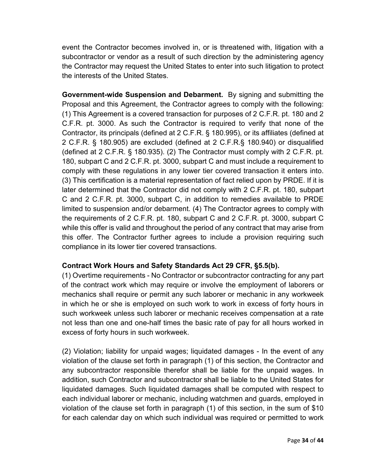event the Contractor becomes involved in, or is threatened with, litigation with a subcontractor or vendor as a result of such direction by the administering agency the Contractor may request the United States to enter into such litigation to protect the interests of the United States.

**Government-wide Suspension and Debarment.** By signing and submitting the Proposal and this Agreement, the Contractor agrees to comply with the following: (1) This Agreement is a covered transaction for purposes of 2 C.F.R. pt. 180 and 2 C.F.R. pt. 3000. As such the Contractor is required to verify that none of the Contractor, its principals (defined at 2 C.F.R. § 180.995), or its affiliates (defined at 2 C.F.R. § 180.905) are excluded (defined at 2 C.F.R.§ 180.940) or disqualified (defined at 2 C.F.R. § 180.935). (2) The Contractor must comply with 2 C.F.R. pt. 180, subpart C and 2 C.F.R. pt. 3000, subpart C and must include a requirement to comply with these regulations in any lower tier covered transaction it enters into. (3) This certification is a material representation of fact relied upon by PRDE. If it is later determined that the Contractor did not comply with 2 C.F.R. pt. 180, subpart C and 2 C.F.R. pt. 3000, subpart C, in addition to remedies available to PRDE limited to suspension and/or debarment. (4) The Contractor agrees to comply with the requirements of 2 C.F.R. pt. 180, subpart C and 2 C.F.R. pt. 3000, subpart C while this offer is valid and throughout the period of any contract that may arise from this offer. The Contractor further agrees to include a provision requiring such compliance in its lower tier covered transactions.

## **Contract Work Hours and Safety Standards Act 29 CFR, §5.5(b).**

(1) Overtime requirements - No Contractor or subcontractor contracting for any part of the contract work which may require or involve the employment of laborers or mechanics shall require or permit any such laborer or mechanic in any workweek in which he or she is employed on such work to work in excess of forty hours in such workweek unless such laborer or mechanic receives compensation at a rate not less than one and one-half times the basic rate of pay for all hours worked in excess of forty hours in such workweek.

(2) Violation; liability for unpaid wages; liquidated damages - In the event of any violation of the clause set forth in paragraph (1) of this section, the Contractor and any subcontractor responsible therefor shall be liable for the unpaid wages. In addition, such Contractor and subcontractor shall be liable to the United States for liquidated damages. Such liquidated damages shall be computed with respect to each individual laborer or mechanic, including watchmen and guards, employed in violation of the clause set forth in paragraph (1) of this section, in the sum of \$10 for each calendar day on which such individual was required or permitted to work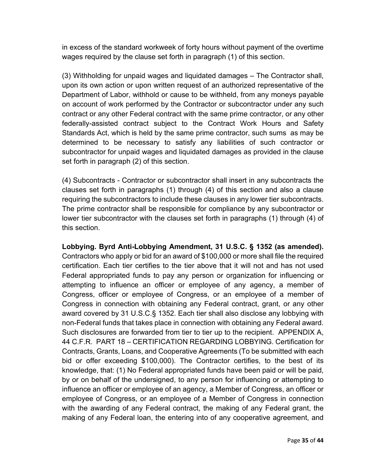in excess of the standard workweek of forty hours without payment of the overtime wages required by the clause set forth in paragraph (1) of this section.

(3) Withholding for unpaid wages and liquidated damages – The Contractor shall, upon its own action or upon written request of an authorized representative of the Department of Labor, withhold or cause to be withheld, from any moneys payable on account of work performed by the Contractor or subcontractor under any such contract or any other Federal contract with the same prime contractor, or any other federally-assisted contract subject to the Contract Work Hours and Safety Standards Act, which is held by the same prime contractor, such sums as may be determined to be necessary to satisfy any liabilities of such contractor or subcontractor for unpaid wages and liquidated damages as provided in the clause set forth in paragraph (2) of this section.

(4) Subcontracts - Contractor or subcontractor shall insert in any subcontracts the clauses set forth in paragraphs (1) through (4) of this section and also a clause requiring the subcontractors to include these clauses in any lower tier subcontracts. The prime contractor shall be responsible for compliance by any subcontractor or lower tier subcontractor with the clauses set forth in paragraphs (1) through (4) of this section.

**Lobbying. Byrd Anti-Lobbying Amendment, 31 U.S.C. § 1352 (as amended).** Contractors who apply or bid for an award of \$100,000 or more shall file the required certification. Each tier certifies to the tier above that it will not and has not used Federal appropriated funds to pay any person or organization for influencing or attempting to influence an officer or employee of any agency, a member of Congress, officer or employee of Congress, or an employee of a member of Congress in connection with obtaining any Federal contract, grant, or any other award covered by 31 U.S.C.§ 1352. Each tier shall also disclose any lobbying with non-Federal funds that takes place in connection with obtaining any Federal award. Such disclosures are forwarded from tier to tier up to the recipient. APPENDIX A, 44 C.F.R. PART 18 – CERTIFICATION REGARDING LOBBYING. Certification for Contracts, Grants, Loans, and Cooperative Agreements (To be submitted with each bid or offer exceeding \$100,000). The Contractor certifies, to the best of its knowledge, that: (1) No Federal appropriated funds have been paid or will be paid, by or on behalf of the undersigned, to any person for influencing or attempting to influence an officer or employee of an agency, a Member of Congress, an officer or employee of Congress, or an employee of a Member of Congress in connection with the awarding of any Federal contract, the making of any Federal grant, the making of any Federal loan, the entering into of any cooperative agreement, and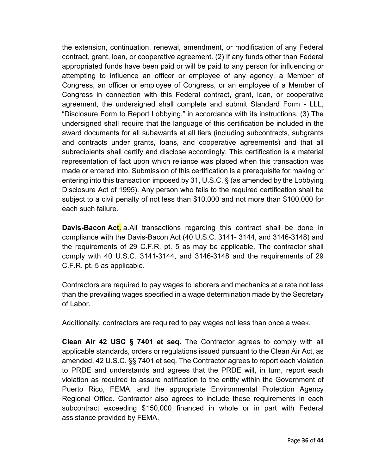the extension, continuation, renewal, amendment, or modification of any Federal contract, grant, loan, or cooperative agreement. (2) If any funds other than Federal appropriated funds have been paid or will be paid to any person for influencing or attempting to influence an officer or employee of any agency, a Member of Congress, an officer or employee of Congress, or an employee of a Member of Congress in connection with this Federal contract, grant, loan, or cooperative agreement, the undersigned shall complete and submit Standard Form - LLL, "Disclosure Form to Report Lobbying," in accordance with its instructions. (3) The undersigned shall require that the language of this certification be included in the award documents for all subawards at all tiers (including subcontracts, subgrants and contracts under grants, loans, and cooperative agreements) and that all subrecipients shall certify and disclose accordingly. This certification is a material representation of fact upon which reliance was placed when this transaction was made or entered into. Submission of this certification is a prerequisite for making or entering into this transaction imposed by 31, U.S.C. § (as amended by the Lobbying Disclosure Act of 1995). Any person who fails to the required certification shall be subject to a civil penalty of not less than \$10,000 and not more than \$100,000 for each such failure.

**Davis-Bacon Act.** a.All transactions regarding this contract shall be done in compliance with the Davis-Bacon Act (40 U.S.C. 3141- 3144, and 3146-3148) and the requirements of 29 C.F.R. pt. 5 as may be applicable. The contractor shall comply with 40 U.S.C. 3141-3144, and 3146-3148 and the requirements of 29 C.F.R. pt. 5 as applicable.

Contractors are required to pay wages to laborers and mechanics at a rate not less than the prevailing wages specified in a wage determination made by the Secretary of Labor.

Additionally, contractors are required to pay wages not less than once a week.

**Clean Air 42 USC § 7401 et seq.** The Contractor agrees to comply with all applicable standards, orders or regulations issued pursuant to the Clean Air Act, as amended, 42 U.S.C. §§ 7401 et seq. The Contractor agrees to report each violation to PRDE and understands and agrees that the PRDE will, in turn, report each violation as required to assure notification to the entity within the Government of Puerto Rico, FEMA, and the appropriate Environmental Protection Agency Regional Office. Contractor also agrees to include these requirements in each subcontract exceeding \$150,000 financed in whole or in part with Federal assistance provided by FEMA.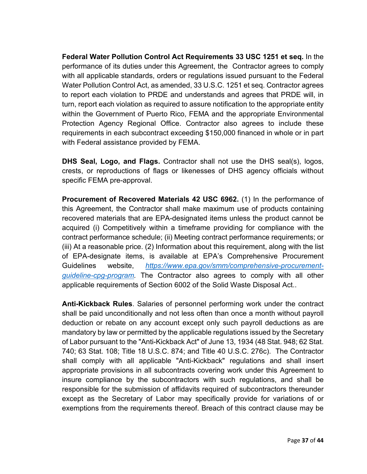**Federal Water Pollution Control Act Requirements 33 USC 1251 et seq.** In the performance of its duties under this Agreement, the Contractor agrees to comply with all applicable standards, orders or regulations issued pursuant to the Federal Water Pollution Control Act, as amended, 33 U.S.C. 1251 et seq. Contractor agrees to report each violation to PRDE and understands and agrees that PRDE will, in turn, report each violation as required to assure notification to the appropriate entity within the Government of Puerto Rico, FEMA and the appropriate Environmental Protection Agency Regional Office. Contractor also agrees to include these requirements in each subcontract exceeding \$150,000 financed in whole or in part with Federal assistance provided by FEMA.

**DHS Seal, Logo, and Flags.** Contractor shall not use the DHS seal(s), logos, crests, or reproductions of flags or likenesses of DHS agency officials without specific FEMA pre-approval.

**Procurement of Recovered Materials 42 USC 6962.** (1) In the performance of this Agreement, the Contractor shall make maximum use of products containing recovered materials that are EPA-designated items unless the product cannot be acquired (i) Competitively within a timeframe providing for compliance with the contract performance schedule; (ii) Meeting contract performance requirements; or (iii) At a reasonable price. (2) Information about this requirement, along with the list of EPA-designate items, is available at EPA's Comprehensive Procurement Guidelines website, *[https://www.epa.gov/smm/comprehensive-procurement](https://www.epa.gov/smm/comprehensive-procurement-guideline-cpg-program)[guideline-cpg-program.](https://www.epa.gov/smm/comprehensive-procurement-guideline-cpg-program)* The Contractor also agrees to comply with all other applicable requirements of Section 6002 of the Solid Waste Disposal Act..

**Anti-Kickback Rules**. Salaries of personnel performing work under the contract shall be paid unconditionally and not less often than once a month without payroll deduction or rebate on any account except only such payroll deductions as are mandatory by law or permitted by the applicable regulations issued by the Secretary of Labor pursuant to the "Anti-Kickback Act" of June 13, 1934 (48 Stat. 948; 62 Stat. 740; 63 Stat. 108; Title 18 U.S.C. 874; and Title 40 U.S.C. 276c). The Contractor shall comply with all applicable "Anti-Kickback" regulations and shall insert appropriate provisions in all subcontracts covering work under this Agreement to insure compliance by the subcontractors with such regulations, and shall be responsible for the submission of affidavits required of subcontractors thereunder except as the Secretary of Labor may specifically provide for variations of or exemptions from the requirements thereof. Breach of this contract clause may be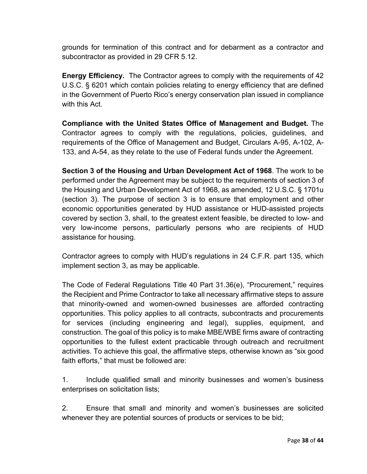grounds for termination of this contract and for debarment as a contractor and subcontractor as provided in 29 CFR 5.12.

**Energy Efficiency.** The Contractor agrees to comply with the requirements of 42 U.S.C. § 6201 which contain policies relating to energy efficiency that are defined in the Government of Puerto Rico's energy conservation plan issued in compliance with this Act.

**Compliance with the United States Office of Management and Budget.** The Contractor agrees to comply with the regulations, policies, guidelines, and requirements of the Office of Management and Budget, Circulars A-95, A-102, A-133, and A-54, as they relate to the use of Federal funds under the Agreement.

**Section 3 of the Housing and Urban Development Act of 1968**. The work to be performed under the Agreement may be subject to the requirements of section 3 of the Housing and Urban Development Act of 1968, as amended, 12 U.S.C. § 1701u (section 3). The purpose of section 3 is to ensure that employment and other economic opportunities generated by HUD assistance or HUD-assisted projects covered by section 3, shall, to the greatest extent feasible, be directed to low- and very low-income persons, particularly persons who are recipients of HUD assistance for housing.

Contractor agrees to comply with HUD's regulations in 24 C.F.R. part 135, which implement section 3, as may be applicable.

The Code of Federal Regulations Title 40 Part 31.36(e), "Procurement," requires the Recipient and Prime Contractor to take all necessary affirmative steps to assure that minority-owned and women-owned businesses are afforded contracting opportunities. This policy applies to all contracts, subcontracts and procurements for services (including engineering and legal), supplies, equipment, and construction. The goal of this policy is to make MBE/WBE firms aware of contracting opportunities to the fullest extent practicable through outreach and recruitment activities. To achieve this goal, the affirmative steps, otherwise known as "six good faith efforts," that must be followed are:

1. Include qualified small and minority businesses and women's business enterprises on solicitation lists;

2. Ensure that small and minority and women's businesses are solicited whenever they are potential sources of products or services to be bid;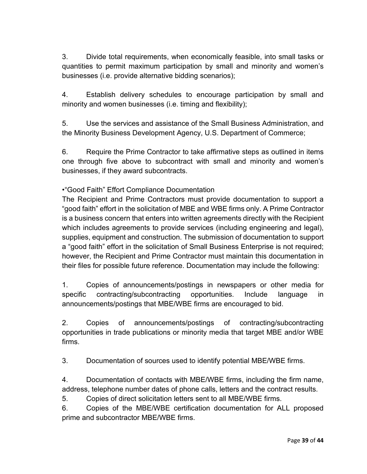3. Divide total requirements, when economically feasible, into small tasks or quantities to permit maximum participation by small and minority and women's businesses (i.e. provide alternative bidding scenarios);

4. Establish delivery schedules to encourage participation by small and minority and women businesses (i.e. timing and flexibility);

5. Use the services and assistance of the Small Business Administration, and the Minority Business Development Agency, U.S. Department of Commerce;

6. Require the Prime Contractor to take affirmative steps as outlined in items one through five above to subcontract with small and minority and women's businesses, if they award subcontracts.

•"Good Faith" Effort Compliance Documentation

The Recipient and Prime Contractors must provide documentation to support a "good faith" effort in the solicitation of MBE and WBE firms only. A Prime Contractor is a business concern that enters into written agreements directly with the Recipient which includes agreements to provide services (including engineering and legal), supplies, equipment and construction. The submission of documentation to support a "good faith" effort in the solicitation of Small Business Enterprise is not required; however, the Recipient and Prime Contractor must maintain this documentation in their files for possible future reference. Documentation may include the following:

1. Copies of announcements/postings in newspapers or other media for specific contracting/subcontracting opportunities. Include language in announcements/postings that MBE/WBE firms are encouraged to bid.

2. Copies of announcements/postings of contracting/subcontracting opportunities in trade publications or minority media that target MBE and/or WBE firms.

3. Documentation of sources used to identify potential MBE/WBE firms.

4. Documentation of contacts with MBE/WBE firms, including the firm name, address, telephone number dates of phone calls, letters and the contract results.

5. Copies of direct solicitation letters sent to all MBE/WBE firms.

6. Copies of the MBE/WBE certification documentation for ALL proposed prime and subcontractor MBE/WBE firms.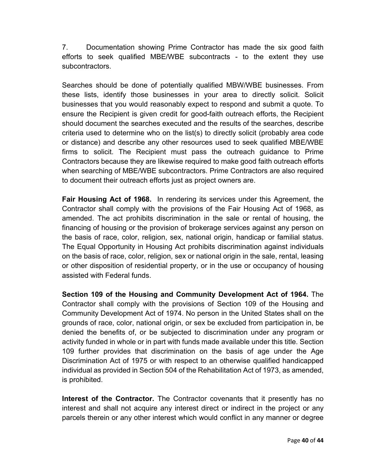7. Documentation showing Prime Contractor has made the six good faith efforts to seek qualified MBE/WBE subcontracts - to the extent they use subcontractors.

Searches should be done of potentially qualified MBW/WBE businesses. From these lists, identify those businesses in your area to directly solicit. Solicit businesses that you would reasonably expect to respond and submit a quote. To ensure the Recipient is given credit for good-faith outreach efforts, the Recipient should document the searches executed and the results of the searches, describe criteria used to determine who on the list(s) to directly solicit (probably area code or distance) and describe any other resources used to seek qualified MBE/WBE firms to solicit. The Recipient must pass the outreach guidance to Prime Contractors because they are likewise required to make good faith outreach efforts when searching of MBE/WBE subcontractors. Prime Contractors are also required to document their outreach efforts just as project owners are.

**Fair Housing Act of 1968.** In rendering its services under this Agreement, the Contractor shall comply with the provisions of the Fair Housing Act of 1968, as amended. The act prohibits discrimination in the sale or rental of housing, the financing of housing or the provision of brokerage services against any person on the basis of race, color, religion, sex, national origin, handicap or familial status. The Equal Opportunity in Housing Act prohibits discrimination against individuals on the basis of race, color, religion, sex or national origin in the sale, rental, leasing or other disposition of residential property, or in the use or occupancy of housing assisted with Federal funds.

**Section 109 of the Housing and Community Development Act of 1964.** The Contractor shall comply with the provisions of Section 109 of the Housing and Community Development Act of 1974. No person in the United States shall on the grounds of race, color, national origin, or sex be excluded from participation in, be denied the benefits of, or be subjected to discrimination under any program or activity funded in whole or in part with funds made available under this title. Section 109 further provides that discrimination on the basis of age under the Age Discrimination Act of 1975 or with respect to an otherwise qualified handicapped individual as provided in Section 504 of the Rehabilitation Act of 1973, as amended, is prohibited.

**Interest of the Contractor.** The Contractor covenants that it presently has no interest and shall not acquire any interest direct or indirect in the project or any parcels therein or any other interest which would conflict in any manner or degree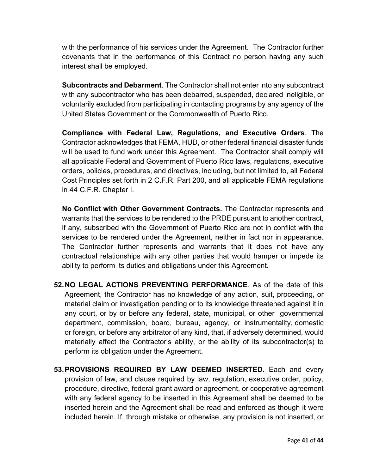with the performance of his services under the Agreement. The Contractor further covenants that in the performance of this Contract no person having any such interest shall be employed.

**Subcontracts and Debarment**. The Contractor shall not enter into any subcontract with any subcontractor who has been debarred, suspended, declared ineligible, or voluntarily excluded from participating in contacting programs by any agency of the United States Government or the Commonwealth of Puerto Rico.

**Compliance with Federal Law, Regulations, and Executive Orders**. The Contractor acknowledges that FEMA, HUD, or other federal financial disaster funds will be used to fund work under this Agreement. The Contractor shall comply will all applicable Federal and Government of Puerto Rico laws, regulations, executive orders, policies, procedures, and directives, including, but not limited to, all Federal Cost Principles set forth in 2 C.F.R. Part 200, and all applicable FEMA regulations in 44 C.F.R. Chapter I.

**No Conflict with Other Government Contracts.** The Contractor represents and warrants that the services to be rendered to the PRDE pursuant to another contract, if any, subscribed with the Government of Puerto Rico are not in conflict with the services to be rendered under the Agreement, neither in fact nor in appearance. The Contractor further represents and warrants that it does not have any contractual relationships with any other parties that would hamper or impede its ability to perform its duties and obligations under this Agreement.

- **52.NO LEGAL ACTIONS PREVENTING PERFORMANCE**. As of the date of this Agreement, the Contractor has no knowledge of any action, suit, proceeding, or material claim or investigation pending or to its knowledge threatened against it in any court, or by or before any federal, state, municipal, or other governmental department, commission, board, bureau, agency, or instrumentality, domestic or foreign, or before any arbitrator of any kind, that, if adversely determined, would materially affect the Contractor's ability, or the ability of its subcontractor(s) to perform its obligation under the Agreement.
- **53.PROVISIONS REQUIRED BY LAW DEEMED INSERTED.** Each and every provision of law, and clause required by law, regulation, executive order, policy, procedure, directive, federal grant award or agreement, or cooperative agreement with any federal agency to be inserted in this Agreement shall be deemed to be inserted herein and the Agreement shall be read and enforced as though it were included herein. If, through mistake or otherwise, any provision is not inserted, or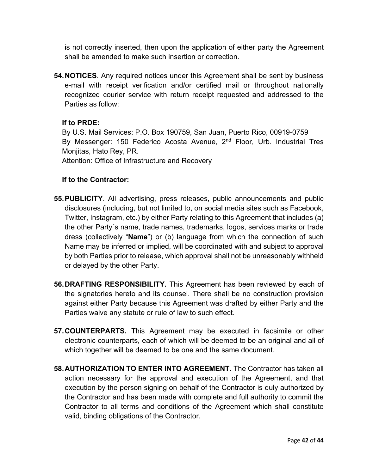is not correctly inserted, then upon the application of either party the Agreement shall be amended to make such insertion or correction.

**54.NOTICES**. Any required notices under this Agreement shall be sent by business e-mail with receipt verification and/or certified mail or throughout nationally recognized courier service with return receipt requested and addressed to the Parties as follow:

## **If to PRDE:**

By U.S. Mail Services: P.O. Box 190759, San Juan, Puerto Rico, 00919-0759 By Messenger: 150 Federico Acosta Avenue, 2<sup>nd</sup> Floor, Urb. Industrial Tres Monjitas, Hato Rey, PR.

Attention: Office of Infrastructure and Recovery

#### **If to the Contractor:**

- **55.PUBLICITY**. All advertising, press releases, public announcements and public disclosures (including, but not limited to, on social media sites such as Facebook, Twitter, Instagram, etc.) by either Party relating to this Agreement that includes (a) the other Party´s name, trade names, trademarks, logos, services marks or trade dress (collectively "**Name**") or (b) language from which the connection of such Name may be inferred or implied, will be coordinated with and subject to approval by both Parties prior to release, which approval shall not be unreasonably withheld or delayed by the other Party.
- **56.DRAFTING RESPONSIBILITY.** This Agreement has been reviewed by each of the signatories hereto and its counsel. There shall be no construction provision against either Party because this Agreement was drafted by either Party and the Parties waive any statute or rule of law to such effect.
- **57.COUNTERPARTS.** This Agreement may be executed in facsimile or other electronic counterparts, each of which will be deemed to be an original and all of which together will be deemed to be one and the same document.
- **58. AUTHORIZATION TO ENTER INTO AGREEMENT.** The Contractor has taken all action necessary for the approval and execution of the Agreement, and that execution by the person signing on behalf of the Contractor is duly authorized by the Contractor and has been made with complete and full authority to commit the Contractor to all terms and conditions of the Agreement which shall constitute valid, binding obligations of the Contractor.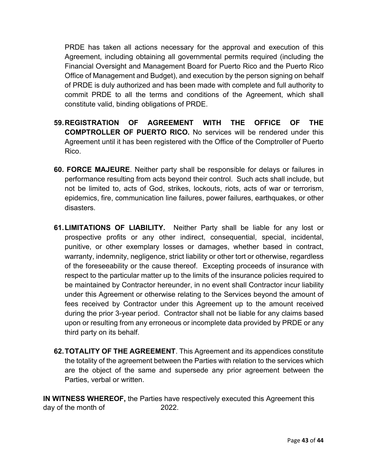PRDE has taken all actions necessary for the approval and execution of this Agreement, including obtaining all governmental permits required (including the Financial Oversight and Management Board for Puerto Rico and the Puerto Rico Office of Management and Budget), and execution by the person signing on behalf of PRDE is duly authorized and has been made with complete and full authority to commit PRDE to all the terms and conditions of the Agreement, which shall constitute valid, binding obligations of PRDE.

- **59.REGISTRATION OF AGREEMENT WITH THE OFFICE OF THE COMPTROLLER OF PUERTO RICO.** No services will be rendered under this Agreement until it has been registered with the Office of the Comptroller of Puerto Rico.
- **60. FORCE MAJEURE**. Neither party shall be responsible for delays or failures in performance resulting from acts beyond their control. Such acts shall include, but not be limited to, acts of God, strikes, lockouts, riots, acts of war or terrorism, epidemics, fire, communication line failures, power failures, earthquakes, or other disasters.
- **61.LIMITATIONS OF LIABILITY.** Neither Party shall be liable for any lost or prospective profits or any other indirect, consequential, special, incidental, punitive, or other exemplary losses or damages, whether based in contract, warranty, indemnity, negligence, strict liability or other tort or otherwise, regardless of the foreseeability or the cause thereof. Excepting proceeds of insurance with respect to the particular matter up to the limits of the insurance policies required to be maintained by Contractor hereunder, in no event shall Contractor incur liability under this Agreement or otherwise relating to the Services beyond the amount of fees received by Contractor under this Agreement up to the amount received during the prior 3-year period. Contractor shall not be liable for any claims based upon or resulting from any erroneous or incomplete data provided by PRDE or any third party on its behalf.
- **62.TOTALITY OF THE AGREEMENT**. This Agreement and its appendices constitute the totality of the agreement between the Parties with relation to the services which are the object of the same and supersede any prior agreement between the Parties, verbal or written.

**IN WITNESS WHEREOF,** the Parties have respectively executed this Agreement this day of the month of 2022.